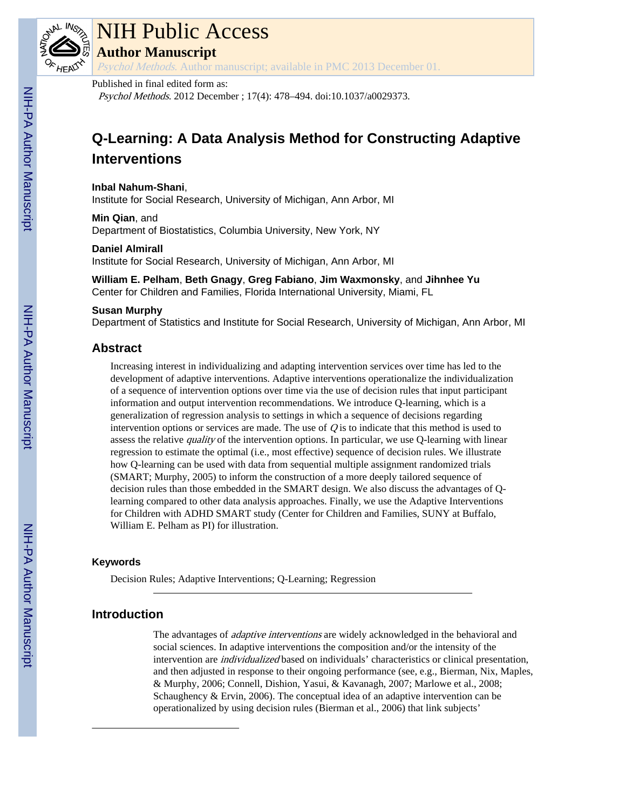

# NIH Public Access

**Author Manuscript**

Psychol Methods. Author manuscript; available in PMC 2013 December 01.

## Published in final edited form as:

Psychol Methods. 2012 December ; 17(4): 478–494. doi:10.1037/a0029373.

## **Q-Learning: A Data Analysis Method for Constructing Adaptive Interventions**

**Inbal Nahum-Shani**, Institute for Social Research, University of Michigan, Ann Arbor, MI

**Min Qian**, and Department of Biostatistics, Columbia University, New York, NY

#### **Daniel Almirall**

Institute for Social Research, University of Michigan, Ann Arbor, MI

**William E. Pelham**, **Beth Gnagy**, **Greg Fabiano**, **Jim Waxmonsky**, and **Jihnhee Yu** Center for Children and Families, Florida International University, Miami, FL

#### **Susan Murphy**

Department of Statistics and Institute for Social Research, University of Michigan, Ann Arbor, MI

## **Abstract**

Increasing interest in individualizing and adapting intervention services over time has led to the development of adaptive interventions. Adaptive interventions operationalize the individualization of a sequence of intervention options over time via the use of decision rules that input participant information and output intervention recommendations. We introduce Q-learning, which is a generalization of regression analysis to settings in which a sequence of decisions regarding intervention options or services are made. The use of  $Q$  is to indicate that this method is used to assess the relative *quality* of the intervention options. In particular, we use Q-learning with linear regression to estimate the optimal (i.e., most effective) sequence of decision rules. We illustrate how Q-learning can be used with data from sequential multiple assignment randomized trials (SMART; Murphy, 2005) to inform the construction of a more deeply tailored sequence of decision rules than those embedded in the SMART design. We also discuss the advantages of Qlearning compared to other data analysis approaches. Finally, we use the Adaptive Interventions for Children with ADHD SMART study (Center for Children and Families, SUNY at Buffalo, William E. Pelham as PI) for illustration.

#### **Keywords**

Decision Rules; Adaptive Interventions; Q-Learning; Regression

## **Introduction**

The advantages of *adaptive interventions* are widely acknowledged in the behavioral and social sciences. In adaptive interventions the composition and/or the intensity of the intervention are individualized based on individuals' characteristics or clinical presentation, and then adjusted in response to their ongoing performance (see, e.g., Bierman, Nix, Maples, & Murphy, 2006; Connell, Dishion, Yasui, & Kavanagh, 2007; Marlowe et al., 2008; Schaughency  $&$  Ervin, 2006). The conceptual idea of an adaptive intervention can be operationalized by using decision rules (Bierman et al., 2006) that link subjects'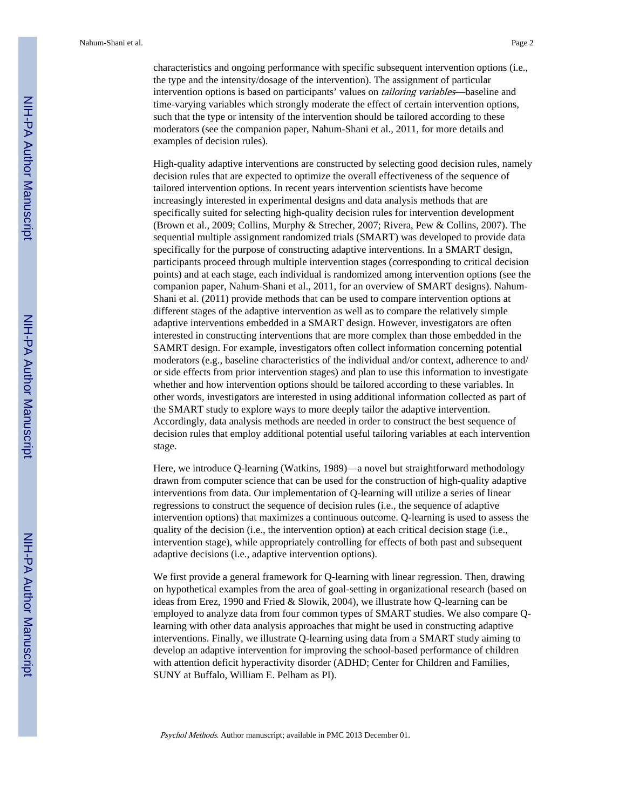characteristics and ongoing performance with specific subsequent intervention options (i.e., the type and the intensity/dosage of the intervention). The assignment of particular intervention options is based on participants' values on *tailoring variables*—baseline and time-varying variables which strongly moderate the effect of certain intervention options, such that the type or intensity of the intervention should be tailored according to these moderators (see the companion paper, Nahum-Shani et al., 2011, for more details and examples of decision rules).

High-quality adaptive interventions are constructed by selecting good decision rules, namely decision rules that are expected to optimize the overall effectiveness of the sequence of tailored intervention options. In recent years intervention scientists have become increasingly interested in experimental designs and data analysis methods that are specifically suited for selecting high-quality decision rules for intervention development (Brown et al., 2009; Collins, Murphy & Strecher, 2007; Rivera, Pew & Collins, 2007). The sequential multiple assignment randomized trials (SMART) was developed to provide data specifically for the purpose of constructing adaptive interventions. In a SMART design, participants proceed through multiple intervention stages (corresponding to critical decision points) and at each stage, each individual is randomized among intervention options (see the companion paper, Nahum-Shani et al., 2011, for an overview of SMART designs). Nahum-Shani et al. (2011) provide methods that can be used to compare intervention options at different stages of the adaptive intervention as well as to compare the relatively simple adaptive interventions embedded in a SMART design. However, investigators are often interested in constructing interventions that are more complex than those embedded in the SAMRT design. For example, investigators often collect information concerning potential moderators (e.g., baseline characteristics of the individual and/or context, adherence to and/ or side effects from prior intervention stages) and plan to use this information to investigate whether and how intervention options should be tailored according to these variables. In other words, investigators are interested in using additional information collected as part of the SMART study to explore ways to more deeply tailor the adaptive intervention. Accordingly, data analysis methods are needed in order to construct the best sequence of decision rules that employ additional potential useful tailoring variables at each intervention stage.

Here, we introduce Q-learning (Watkins, 1989)—a novel but straightforward methodology drawn from computer science that can be used for the construction of high-quality adaptive interventions from data. Our implementation of Q-learning will utilize a series of linear regressions to construct the sequence of decision rules (i.e., the sequence of adaptive intervention options) that maximizes a continuous outcome. Q-learning is used to assess the quality of the decision (i.e., the intervention option) at each critical decision stage (i.e., intervention stage), while appropriately controlling for effects of both past and subsequent adaptive decisions (i.e., adaptive intervention options).

We first provide a general framework for Q-learning with linear regression. Then, drawing on hypothetical examples from the area of goal-setting in organizational research (based on ideas from Erez, 1990 and Fried & Slowik, 2004), we illustrate how Q-learning can be employed to analyze data from four common types of SMART studies. We also compare Qlearning with other data analysis approaches that might be used in constructing adaptive interventions. Finally, we illustrate Q-learning using data from a SMART study aiming to develop an adaptive intervention for improving the school-based performance of children with attention deficit hyperactivity disorder (ADHD; Center for Children and Families, SUNY at Buffalo, William E. Pelham as PI).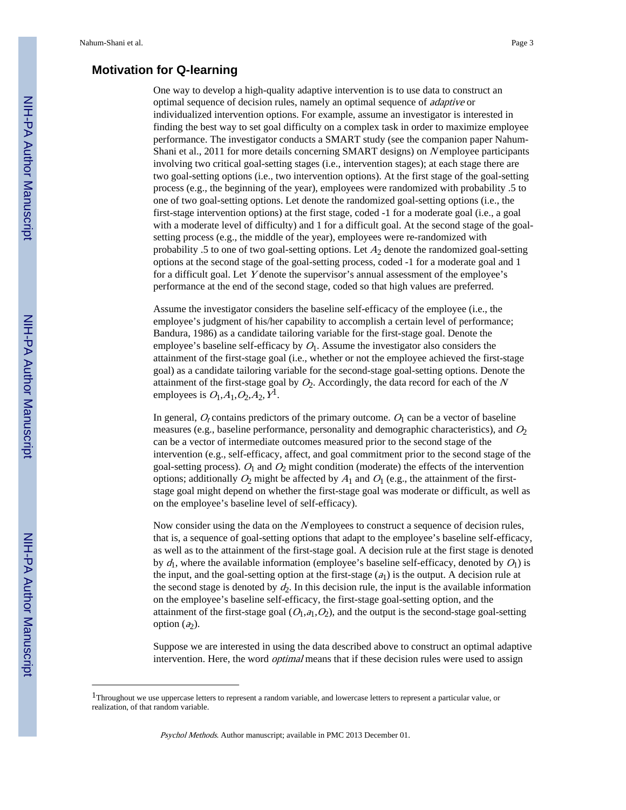## **Motivation for Q-learning**

One way to develop a high-quality adaptive intervention is to use data to construct an optimal sequence of decision rules, namely an optimal sequence of adaptive or individualized intervention options. For example, assume an investigator is interested in finding the best way to set goal difficulty on a complex task in order to maximize employee performance. The investigator conducts a SMART study (see the companion paper Nahum-Shani et al., 2011 for more details concerning SMART designs) on Nemployee participants involving two critical goal-setting stages (i.e., intervention stages); at each stage there are two goal-setting options (i.e., two intervention options). At the first stage of the goal-setting process (e.g., the beginning of the year), employees were randomized with probability .5 to one of two goal-setting options. Let denote the randomized goal-setting options (i.e., the first-stage intervention options) at the first stage, coded -1 for a moderate goal (i.e., a goal with a moderate level of difficulty) and 1 for a difficult goal. At the second stage of the goalsetting process (e.g., the middle of the year), employees were re-randomized with probability .5 to one of two goal-setting options. Let  $A_2$  denote the randomized goal-setting options at the second stage of the goal-setting process, coded -1 for a moderate goal and 1 for a difficult goal. Let Y denote the supervisor's annual assessment of the employee's performance at the end of the second stage, coded so that high values are preferred.

Assume the investigator considers the baseline self-efficacy of the employee (i.e., the employee's judgment of his/her capability to accomplish a certain level of performance; Bandura, 1986) as a candidate tailoring variable for the first-stage goal. Denote the employee's baseline self-efficacy by  $O<sub>1</sub>$ . Assume the investigator also considers the attainment of the first-stage goal (i.e., whether or not the employee achieved the first-stage goal) as a candidate tailoring variable for the second-stage goal-setting options. Denote the attainment of the first-stage goal by  $O_2$ . Accordingly, the data record for each of the N employees is  $O_1$ , $A_1$ , $O_2$ , $A_2$ ,  $Y^1$ .

In general,  $O_t$  contains predictors of the primary outcome.  $O_1$  can be a vector of baseline measures (e.g., baseline performance, personality and demographic characteristics), and  $O_2$ can be a vector of intermediate outcomes measured prior to the second stage of the intervention (e.g., self-efficacy, affect, and goal commitment prior to the second stage of the goal-setting process).  $O_1$  and  $O_2$  might condition (moderate) the effects of the intervention options; additionally  $O_2$  might be affected by  $A_1$  and  $O_1$  (e.g., the attainment of the firststage goal might depend on whether the first-stage goal was moderate or difficult, as well as on the employee's baseline level of self-efficacy).

Now consider using the data on the N employees to construct a sequence of decision rules, that is, a sequence of goal-setting options that adapt to the employee's baseline self-efficacy, as well as to the attainment of the first-stage goal. A decision rule at the first stage is denoted by  $d_1$ , where the available information (employee's baseline self-efficacy, denoted by  $O_1$ ) is the input, and the goal-setting option at the first-stage  $(a<sub>1</sub>)$  is the output. A decision rule at the second stage is denoted by  $d_2$ . In this decision rule, the input is the available information on the employee's baseline self-efficacy, the first-stage goal-setting option, and the attainment of the first-stage goal  $(O_1,a_1,O_2)$ , and the output is the second-stage goal-setting option  $(a_2)$ .

Suppose we are interested in using the data described above to construct an optimal adaptive intervention. Here, the word *optimal* means that if these decision rules were used to assign

<sup>&</sup>lt;sup>1</sup>Throughout we use uppercase letters to represent a random variable, and lowercase letters to represent a particular value, or realization, of that random variable.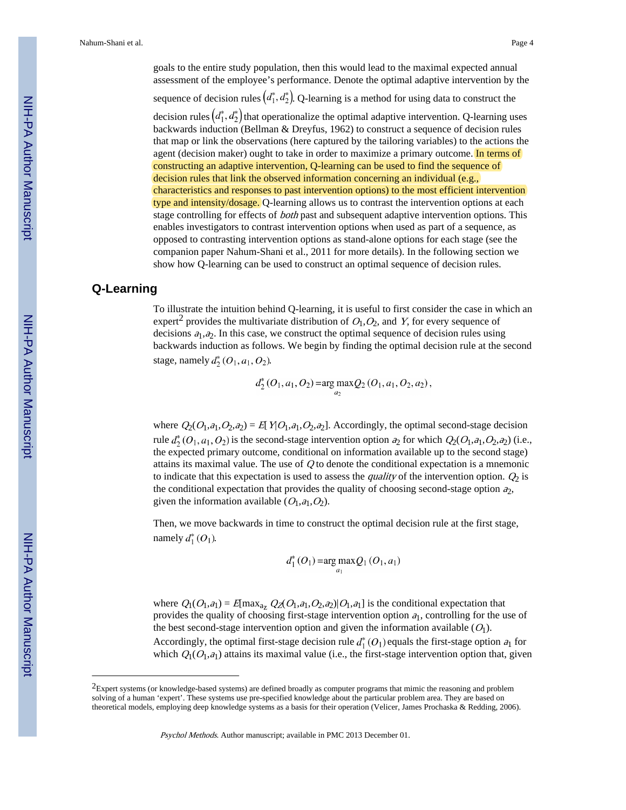goals to the entire study population, then this would lead to the maximal expected annual assessment of the employee's performance. Denote the optimal adaptive intervention by the sequence of decision rules  $(d_1^*, d_2^*)$ . Q-learning is a method for using data to construct the decision rules  $(d_1^*, d_2^*)$  that operationalize the optimal adaptive intervention. Q-learning uses backwards induction (Bellman & Dreyfus, 1962) to construct a sequence of decision rules that map or link the observations (here captured by the tailoring variables) to the actions the agent (decision maker) ought to take in order to maximize a primary outcome. In terms of constructing an adaptive intervention, Q-learning can be used to find the sequence of decision rules that link the observed information concerning an individual (e.g., characteristics and responses to past intervention options) to the most efficient intervention type and intensity/dosage. Q-learning allows us to contrast the intervention options at each stage controlling for effects of *both* past and subsequent adaptive intervention options. This enables investigators to contrast intervention options when used as part of a sequence, as opposed to contrasting intervention options as stand-alone options for each stage (see the companion paper Nahum-Shani et al., 2011 for more details). In the following section we show how Q-learning can be used to construct an optimal sequence of decision rules.

## **Q-Learning**

To illustrate the intuition behind Q-learning, it is useful to first consider the case in which an expert<sup>2</sup> provides the multivariate distribution of  $O_1, O_2$ , and Y, for every sequence of decisions  $a_1, a_2$ . In this case, we construct the optimal sequence of decision rules using backwards induction as follows. We begin by finding the optimal decision rule at the second stage, namely  $d_2^*(O_1, a_1, O_2)$ .

$$
d_2^*(O_1, a_1, O_2) = \arg \max_{a_2} Q_2(O_1, a_1, O_2, a_2),
$$

where  $Q_2(O_1,a_1,O_2,a_2) = E[Y|O_1,a_1,O_2,a_2]$ . Accordingly, the optimal second-stage decision rule  $d_2^*(O_1, a_1, O_2)$  is the second-stage intervention option  $a_2$  for which  $Q_2(O_1, a_1, O_2, a_2)$  (i.e., the expected primary outcome, conditional on information available up to the second stage) attains its maximal value. The use of  $Q$  to denote the conditional expectation is a mnemonic to indicate that this expectation is used to assess the *quality* of the intervention option.  $Q_2$  is the conditional expectation that provides the quality of choosing second-stage option  $a_2$ , given the information available  $(O_1, a_1, O_2)$ .

Then, we move backwards in time to construct the optimal decision rule at the first stage, namely  $d_1^*(O_1)$ .

$$
d_1^*(O_1) = \arg \max_{a_1} Q_1(O_1, a_1)
$$

where  $Q_1(O_1,a_1) = E[\max_{a_7} Q_2(O_1,a_1,O_2,a_2)|O_1,a_1]$  is the conditional expectation that provides the quality of choosing first-stage intervention option  $a_1$ , controlling for the use of the best second-stage intervention option and given the information available  $(O_1)$ . Accordingly, the optimal first-stage decision rule  $d_1^*(O_1)$  equals the first-stage option  $a_1$  for which  $Q_1(O_1, a_1)$  attains its maximal value (i.e., the first-stage intervention option that, given

<sup>&</sup>lt;sup>2</sup>Expert systems (or knowledge-based systems) are defined broadly as computer programs that mimic the reasoning and problem solving of a human 'expert'. These systems use pre-specified knowledge about the particular problem area. They are based on theoretical models, employing deep knowledge systems as a basis for their operation (Velicer, James Prochaska & Redding, 2006).

Psychol Methods. Author manuscript; available in PMC 2013 December 01.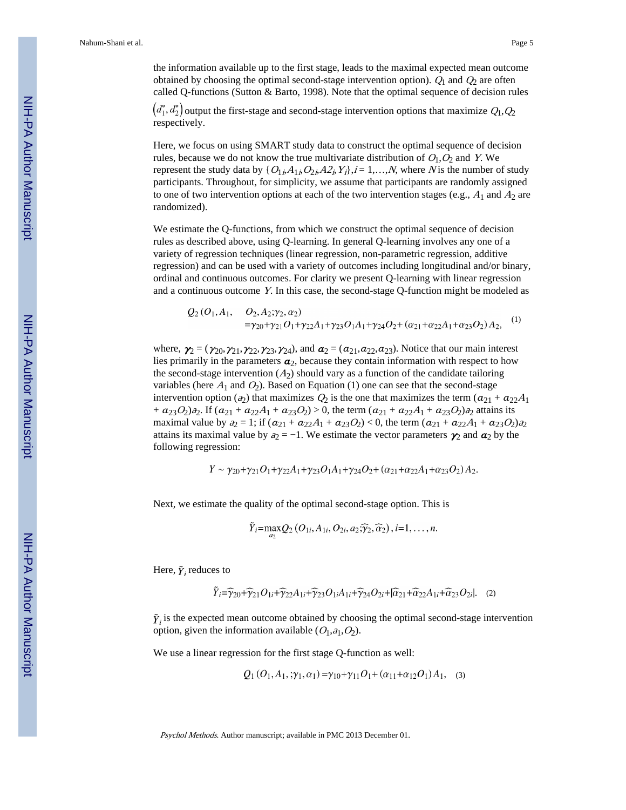the information available up to the first stage, leads to the maximal expected mean outcome obtained by choosing the optimal second-stage intervention option).  $Q_1$  and  $Q_2$  are often called Q-functions (Sutton & Barto, 1998). Note that the optimal sequence of decision rules

 $(d_1^*, d_2^*)$  output the first-stage and second-stage intervention options that maximize  $Q_1, Q_2$ respectively.

Here, we focus on using SMART study data to construct the optimal sequence of decision rules, because we do not know the true multivariate distribution of  $O_1$ ,  $O_2$  and Y. We represent the study data by  $\{O_{1i}$ ,  $A_{1i}$ ,  $O_{2i}$ ,  $A_{2i}$ ,  $Y_i\}$ ,  $i = 1,...,N$ , where N is the number of study participants. Throughout, for simplicity, we assume that participants are randomly assigned to one of two intervention options at each of the two intervention stages (e.g.,  $A_1$  and  $A_2$  are randomized).

We estimate the Q-functions, from which we construct the optimal sequence of decision rules as described above, using Q-learning. In general Q-learning involves any one of a variety of regression techniques (linear regression, non-parametric regression, additive regression) and can be used with a variety of outcomes including longitudinal and/or binary, ordinal and continuous outcomes. For clarity we present Q-learning with linear regression and a continuous outcome Y. In this case, the second-stage Q-function might be modeled as

$$
Q_2(O_1, A_1, O_2, A_2; \gamma_2, \alpha_2)
$$
  
= $\gamma_{20}+\gamma_{21}O_1+\gamma_{22}A_1+\gamma_{23}O_1A_1+\gamma_{24}O_2+(\alpha_{21}+\alpha_{22}A_1+\alpha_{23}O_2)A_2,$  (1)

where,  $\gamma_2 = (\gamma_{20}, \gamma_{21}, \gamma_{22}, \gamma_{23}, \gamma_{24})$ , and  $\alpha_2 = (a_{21}, a_{22}, a_{23})$ . Notice that our main interest lies primarily in the parameters  $a_2$ , because they contain information with respect to how the second-stage intervention  $(A_2)$  should vary as a function of the candidate tailoring variables (here  $A_1$  and  $O_2$ ). Based on Equation (1) one can see that the second-stage intervention option (a<sub>2</sub>) that maximizes  $Q_2$  is the one that maximizes the term ( $a_{21} + a_{22}A_1$ +  $a_{23}O_2$ ) $a_2$ . If  $(a_{21} + a_{22}A_1 + a_{23}O_2) > 0$ , the term  $(a_{21} + a_{22}A_1 + a_{23}O_2)a_2$  attains its maximal value by  $a_2 = 1$ ; if  $(a_{21} + a_{22}A_1 + a_{23}O_2) < 0$ , the term  $(a_{21} + a_{22}A_1 + a_{23}O_2)a_2$ attains its maximal value by  $a_2 = -1$ . We estimate the vector parameters  $\gamma_2$  and  $a_2$  by the following regression:

$$
Y \sim \gamma_{20} + \gamma_{21}O_1 + \gamma_{22}A_1 + \gamma_{23}O_1A_1 + \gamma_{24}O_2 + (\alpha_{21} + \alpha_{22}A_1 + \alpha_{23}O_2)A_2.
$$

Next, we estimate the quality of the optimal second-stage option. This is

$$
\tilde{Y}_i = \max_{a_2} Q_2\left(O_{1i}, A_{1i}, O_{2i}, a_2; \widehat{\gamma}_2, \widehat{\alpha}_2\right), i=1,\ldots,n.
$$

Here,  $\tilde{\gamma}$ , reduces to

$$
\tilde{Y}_i = \widehat{\gamma}_{20} + \widehat{\gamma}_{21}O_{1i} + \widehat{\gamma}_{22}A_{1i} + \widehat{\gamma}_{23}O_{1i}A_{1i} + \widehat{\gamma}_{24}O_{2i} + \widehat{\alpha}_{21} + \widehat{\alpha}_{22}A_{1i} + \widehat{\alpha}_{23}O_{2i}.
$$
 (2)

 $\tilde{\gamma}_i$  is the expected mean outcome obtained by choosing the optimal second-stage intervention option, given the information available  $(O_1,a_1,O_2)$ .

We use a linear regression for the first stage Q-function as well:

$$
Q_1(O_1, A_1, \gamma_1, \alpha_1) = \gamma_{10} + \gamma_{11} O_1 + (\alpha_{11} + \alpha_{12} O_1) A_1, \quad (3)
$$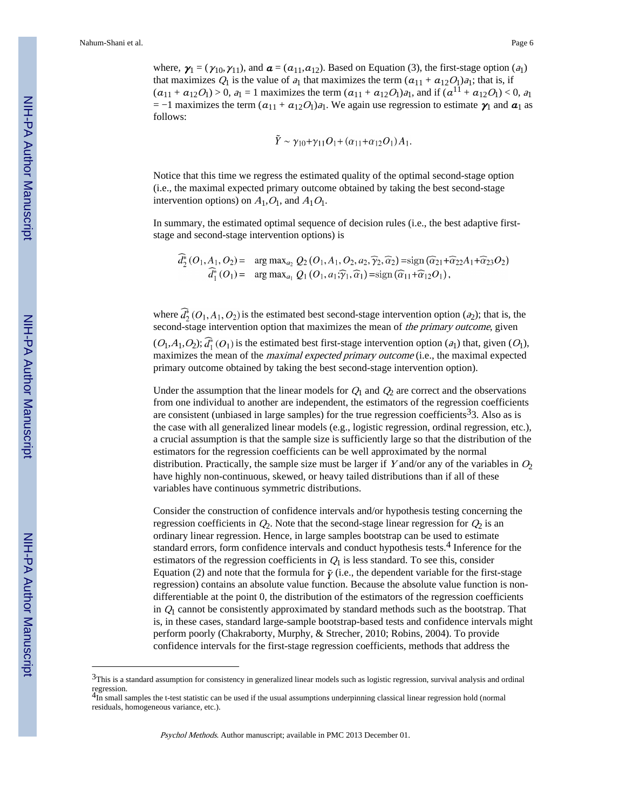where,  $\mathbf{y}_1 = (\gamma_{10}, \gamma_{11})$ , and  $\mathbf{a} = (a_{11}, a_{12})$ . Based on Equation (3), the first-stage option (a<sub>1</sub>) that maximizes  $Q_1$  is the value of  $a_1$  that maximizes the term  $(a_{11} + a_{12}O_1)a_1$ ; that is, if  $(a_{11} + a_{12}O_1) > 0$ ,  $a_1 = 1$  maximizes the term  $(a_{11} + a_{12}O_1)a_1$ , and if  $(a^{11} + a_{12}O_1) < 0$ ,  $a_1$  $= -1$  maximizes the term  $(a_{11} + a_{12}O_1)a_1$ . We again use regression to estimate  $\gamma_1$  and  $\alpha_1$  as follows:

$$
\tilde{Y} \sim \gamma_{10} + \gamma_{11} O_1 + (\alpha_{11} + \alpha_{12} O_1) A_1
$$

Notice that this time we regress the estimated quality of the optimal second-stage option (i.e., the maximal expected primary outcome obtained by taking the best second-stage intervention options) on  $A_1, O_1$ , and  $A_1O_1$ .

In summary, the estimated optimal sequence of decision rules (i.e., the best adaptive firststage and second-stage intervention options) is

$$
d_2^*(O_1, A_1, O_2) = \arg \max_{a_2} Q_2(O_1, A_1, O_2, a_2, \widehat{\gamma}_2, \widehat{\alpha}_2) = \text{sign}(\widehat{\alpha}_{21} + \widehat{\alpha}_{22}A_1 + \widehat{\alpha}_{23}O_2)
$$
  

$$
\widehat{d}_1^*(O_1) = \arg \max_{a_1} Q_1(O_1, a_1; \widehat{\gamma}_1, \widehat{\alpha}_1) = \text{sign}(\widehat{\alpha}_{11} + \widehat{\alpha}_{12}O_1),
$$

where  $\hat{d}_2^*(O_1, A_1, O_2)$  is the estimated best second-stage intervention option (a<sub>2</sub>); that is, the second-stage intervention option that maximizes the mean of the primary outcome, given  $(O_1,A_1,O_2);$   $\widehat{d}_1^*(O_1)$  is the estimated best first-stage intervention option  $(a_1)$  that, given  $(O_1)$ , maximizes the mean of the maximal expected primary outcome (i.e., the maximal expected primary outcome obtained by taking the best second-stage intervention option).

Under the assumption that the linear models for  $Q_1$  and  $Q_2$  are correct and the observations from one individual to another are independent, the estimators of the regression coefficients are consistent (unbiased in large samples) for the true regression coefficients<sup>3</sup>3. Also as is the case with all generalized linear models (e.g., logistic regression, ordinal regression, etc.), a crucial assumption is that the sample size is sufficiently large so that the distribution of the estimators for the regression coefficients can be well approximated by the normal distribution. Practically, the sample size must be larger if Y and/or any of the variables in  $O_2$ have highly non-continuous, skewed, or heavy tailed distributions than if all of these variables have continuous symmetric distributions.

Consider the construction of confidence intervals and/or hypothesis testing concerning the regression coefficients in  $Q_2$ . Note that the second-stage linear regression for  $Q_2$  is an ordinary linear regression. Hence, in large samples bootstrap can be used to estimate standard errors, form confidence intervals and conduct hypothesis tests.<sup>4</sup> Inference for the estimators of the regression coefficients in  $Q_1$  is less standard. To see this, consider Equation (2) and note that the formula for  $\tilde{\gamma}$  (i.e., the dependent variable for the first-stage regression) contains an absolute value function. Because the absolute value function is nondifferentiable at the point 0, the distribution of the estimators of the regression coefficients in  $Q_1$  cannot be consistently approximated by standard methods such as the bootstrap. That is, in these cases, standard large-sample bootstrap-based tests and confidence intervals might perform poorly (Chakraborty, Murphy, & Strecher, 2010; Robins, 2004). To provide confidence intervals for the first-stage regression coefficients, methods that address the

<sup>&</sup>lt;sup>3</sup>This is a standard assumption for consistency in generalized linear models such as logistic regression, survival analysis and ordinal regression.<br><sup>4</sup>In small samples the t-test statistic can be used if the usual assumptions underpinning classical linear regression hold (normal

residuals, homogeneous variance, etc.).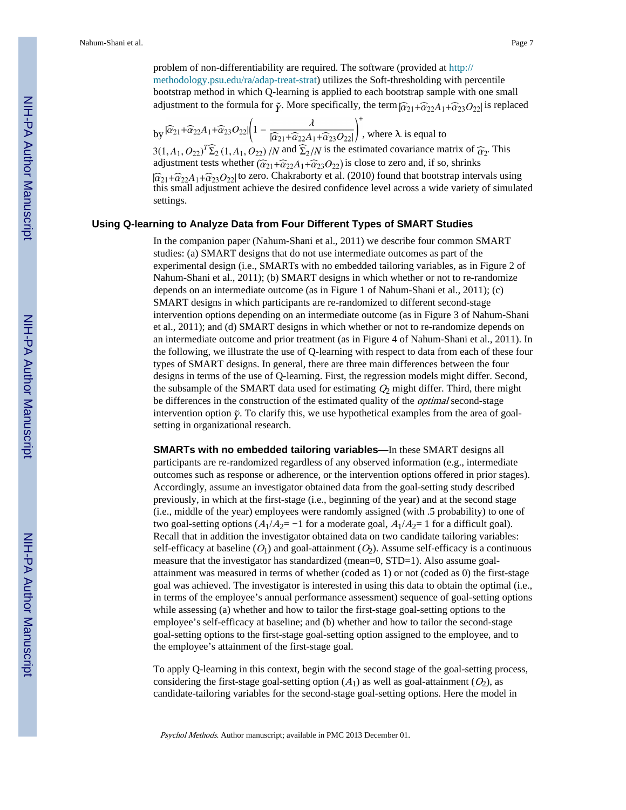problem of non-differentiability are required. The software (provided at [http://](http://methodology.psu.edu/ra/adap-treat-strat) [methodology.psu.edu/ra/adap-treat-strat\)](http://methodology.psu.edu/ra/adap-treat-strat) utilizes the Soft-thresholding with percentile bootstrap method in which Q-learning is applied to each bootstrap sample with one small adjustment to the formula for  $\tilde{\gamma}$ . More specifically, the term  $\tilde{\alpha}_{21} + \tilde{\alpha}_{22}A_1 + \tilde{\alpha}_{23}O_{22}$  is replaced

by 
$$
|\widehat{\alpha}_{21} + \widehat{\alpha}_{22}A_1 + \widehat{\alpha}_{23}O_{22}| \left(1 - \frac{\lambda}{|\widehat{\alpha}_{21} + \widehat{\alpha}_{22}A_1 + \widehat{\alpha}_{23}O_{22}|}\right)^+
$$
, where  $\lambda$  is equal to

 $3(1, A_1, O_{22})^T \Sigma_2 (1, A_1, O_{22})$  /N and  $\Sigma_2/N$  is the estimated covariance matrix of  $\widehat{\alpha}_2$ . This adjustment tests whether  $(\widehat{\alpha}_{21}+\widehat{\alpha}_{22}A_1+\widehat{\alpha}_{23}O_{22})$  is close to zero and, if so, shrinks  $\int \widehat{\alpha}_{21} + \widehat{\alpha}_{22}A_1 + \widehat{\alpha}_{23}O_{22}$  to zero. Chakraborty et al. (2010) found that bootstrap intervals using this small adjustment achieve the desired confidence level across a wide variety of simulated settings.

#### **Using Q-learning to Analyze Data from Four Different Types of SMART Studies**

In the companion paper (Nahum-Shani et al., 2011) we describe four common SMART studies: (a) SMART designs that do not use intermediate outcomes as part of the experimental design (i.e., SMARTs with no embedded tailoring variables, as in Figure 2 of Nahum-Shani et al., 2011); (b) SMART designs in which whether or not to re-randomize depends on an intermediate outcome (as in Figure 1 of Nahum-Shani et al., 2011); (c) SMART designs in which participants are re-randomized to different second-stage intervention options depending on an intermediate outcome (as in Figure 3 of Nahum-Shani et al., 2011); and (d) SMART designs in which whether or not to re-randomize depends on an intermediate outcome and prior treatment (as in Figure 4 of Nahum-Shani et al., 2011). In the following, we illustrate the use of Q-learning with respect to data from each of these four types of SMART designs. In general, there are three main differences between the four designs in terms of the use of Q-learning. First, the regression models might differ. Second, the subsample of the SMART data used for estimating  $Q_2$  might differ. Third, there might be differences in the construction of the estimated quality of the optimal second-stage intervention option  $\tilde{y}$ . To clarify this, we use hypothetical examples from the area of goalsetting in organizational research.

**SMARTs with no embedded tailoring variables—**In these SMART designs all participants are re-randomized regardless of any observed information (e.g., intermediate outcomes such as response or adherence, or the intervention options offered in prior stages). Accordingly, assume an investigator obtained data from the goal-setting study described previously, in which at the first-stage (i.e., beginning of the year) and at the second stage (i.e., middle of the year) employees were randomly assigned (with .5 probability) to one of two goal-setting options  $(A_1/A_2 = -1$  for a moderate goal,  $A_1/A_2 = 1$  for a difficult goal). Recall that in addition the investigator obtained data on two candidate tailoring variables: self-efficacy at baseline  $(O_1)$  and goal-attainment  $(O_2)$ . Assume self-efficacy is a continuous measure that the investigator has standardized (mean=0, STD=1). Also assume goalattainment was measured in terms of whether (coded as 1) or not (coded as 0) the first-stage goal was achieved. The investigator is interested in using this data to obtain the optimal (i.e., in terms of the employee's annual performance assessment) sequence of goal-setting options while assessing (a) whether and how to tailor the first-stage goal-setting options to the employee's self-efficacy at baseline; and (b) whether and how to tailor the second-stage goal-setting options to the first-stage goal-setting option assigned to the employee, and to the employee's attainment of the first-stage goal.

To apply Q-learning in this context, begin with the second stage of the goal-setting process, considering the first-stage goal-setting option  $(A_1)$  as well as goal-attainment  $(O_2)$ , as candidate-tailoring variables for the second-stage goal-setting options. Here the model in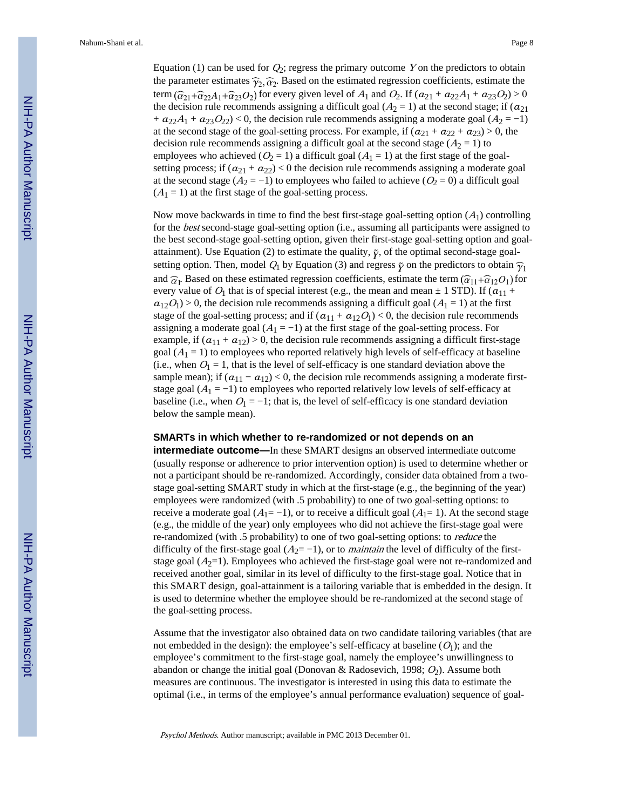Equation (1) can be used for  $Q_2$ ; regress the primary outcome Y on the predictors to obtain the parameter estimates  $\hat{\gamma}_2$ ,  $\hat{\alpha}_2$ . Based on the estimated regression coefficients, estimate the term  $(\widehat{\alpha}_{21}+\widehat{\alpha}_{22}A_1+\widehat{\alpha}_{23}O_2)$  for every given level of  $A_1$  and  $O_2$ . If  $(a_{21}+a_{22}A_1+a_{23}O_2) > 0$ the decision rule recommends assigning a difficult goal ( $A_2 = 1$ ) at the second stage; if ( $a_{21}$ ) +  $a_{22}A_1 + a_{23}O_{22}$  < 0, the decision rule recommends assigning a moderate goal ( $A_2 = -1$ ) at the second stage of the goal-setting process. For example, if  $(a_{21} + a_{22} + a_{23}) > 0$ , the decision rule recommends assigning a difficult goal at the second stage  $(A_2 = 1)$  to employees who achieved ( $O_2 = 1$ ) a difficult goal ( $A_1 = 1$ ) at the first stage of the goalsetting process; if  $(a_{21} + a_{22}) < 0$  the decision rule recommends assigning a moderate goal at the second stage ( $A_2 = -1$ ) to employees who failed to achieve ( $O_2 = 0$ ) a difficult goal  $(A<sub>1</sub> = 1)$  at the first stage of the goal-setting process.

Now move backwards in time to find the best first-stage goal-setting option  $(A_1)$  controlling for the *best* second-stage goal-setting option (i.e., assuming all participants were assigned to the best second-stage goal-setting option, given their first-stage goal-setting option and goalattainment). Use Equation (2) to estimate the quality,  $\tilde{y}$ , of the optimal second-stage goalsetting option. Then, model  $Q_1$  by Equation (3) and regress  $\tilde{y}$  on the predictors to obtain  $\tilde{\gamma}_1$ and  $\hat{\alpha}_1$ . Based on these estimated regression coefficients, estimate the term  $(\hat{\alpha}_{11} + \hat{\alpha}_{12}O_1)$  for every value of  $O_1$  that is of special interest (e.g., the mean and mean  $\pm$  1 STD). If ( $a_{11}$  +  $a_{12}O_1$  > 0, the decision rule recommends assigning a difficult goal  $(A_1 = 1)$  at the first stage of the goal-setting process; and if  $(a_{11} + a_{12}O_1) < 0$ , the decision rule recommends assigning a moderate goal ( $A_1 = -1$ ) at the first stage of the goal-setting process. For example, if  $(a_{11} + a_{12}) > 0$ , the decision rule recommends assigning a difficult first-stage goal  $(A<sub>1</sub> = 1)$  to employees who reported relatively high levels of self-efficacy at baseline (i.e., when  $O_1 = 1$ , that is the level of self-efficacy is one standard deviation above the sample mean); if  $(a_{11} - a_{12}) < 0$ , the decision rule recommends assigning a moderate firststage goal  $(A_1 = -1)$  to employees who reported relatively low levels of self-efficacy at baseline (i.e., when  $O_1 = -1$ ; that is, the level of self-efficacy is one standard deviation below the sample mean).

#### **SMARTs in which whether to re-randomized or not depends on an**

**intermediate outcome—**In these SMART designs an observed intermediate outcome (usually response or adherence to prior intervention option) is used to determine whether or not a participant should be re-randomized. Accordingly, consider data obtained from a twostage goal-setting SMART study in which at the first-stage (e.g., the beginning of the year) employees were randomized (with .5 probability) to one of two goal-setting options: to receive a moderate goal  $(A_1 = -1)$ , or to receive a difficult goal  $(A_1 = 1)$ . At the second stage (e.g., the middle of the year) only employees who did not achieve the first-stage goal were re-randomized (with .5 probability) to one of two goal-setting options: to reduce the difficulty of the first-stage goal  $(A_2 = -1)$ , or to *maintain* the level of difficulty of the firststage goal  $(A_2=1)$ . Employees who achieved the first-stage goal were not re-randomized and received another goal, similar in its level of difficulty to the first-stage goal. Notice that in this SMART design, goal-attainment is a tailoring variable that is embedded in the design. It is used to determine whether the employee should be re-randomized at the second stage of the goal-setting process.

Assume that the investigator also obtained data on two candidate tailoring variables (that are not embedded in the design): the employee's self-efficacy at baseline  $(O_1)$ ; and the employee's commitment to the first-stage goal, namely the employee's unwillingness to abandon or change the initial goal (Donovan & Radosevich, 1998;  $O_2$ ). Assume both measures are continuous. The investigator is interested in using this data to estimate the optimal (i.e., in terms of the employee's annual performance evaluation) sequence of goal-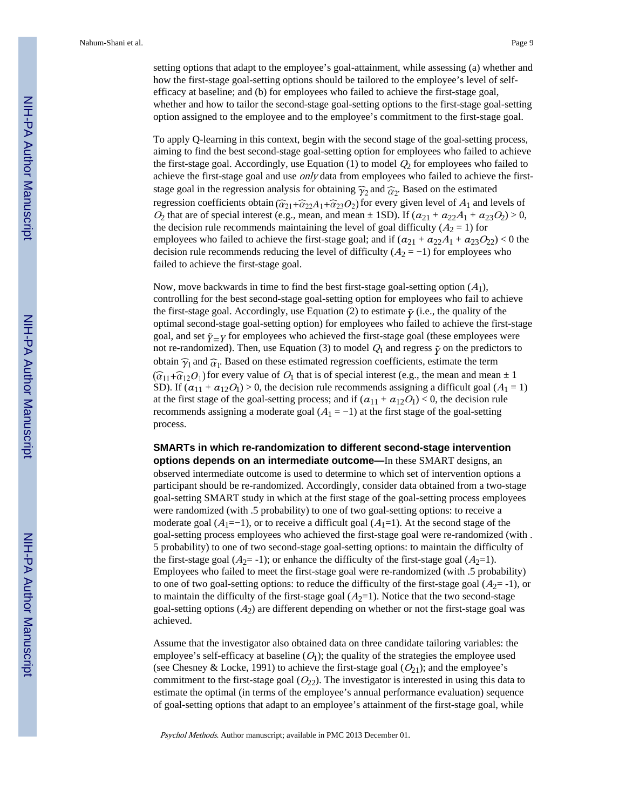setting options that adapt to the employee's goal-attainment, while assessing (a) whether and how the first-stage goal-setting options should be tailored to the employee's level of selfefficacy at baseline; and (b) for employees who failed to achieve the first-stage goal, whether and how to tailor the second-stage goal-setting options to the first-stage goal-setting option assigned to the employee and to the employee's commitment to the first-stage goal.

To apply Q-learning in this context, begin with the second stage of the goal-setting process, aiming to find the best second-stage goal-setting option for employees who failed to achieve the first-stage goal. Accordingly, use Equation (1) to model  $Q_2$  for employees who failed to achieve the first-stage goal and use only data from employees who failed to achieve the firststage goal in the regression analysis for obtaining  $\hat{\gamma}_2$  and  $\hat{\alpha}_2$ . Based on the estimated regression coefficients obtain  $(\widehat{\alpha}_{21}+\widehat{\alpha}_{22}A_1+\widehat{\alpha}_{23}O_2)$  for every given level of  $A_1$  and levels of  $O_2$  that are of special interest (e.g., mean, and mean  $\pm$  1SD). If  $(a_{21} + a_{22}A_1 + a_{23}O_2) > 0$ , the decision rule recommends maintaining the level of goal difficulty ( $A_2 = 1$ ) for employees who failed to achieve the first-stage goal; and if  $(a_{21} + a_{22}A_1 + a_{23}O_{22}) < 0$  the decision rule recommends reducing the level of difficulty  $(A_2 = -1)$  for employees who failed to achieve the first-stage goal.

Now, move backwards in time to find the best first-stage goal-setting option  $(A_1)$ , controlling for the best second-stage goal-setting option for employees who fail to achieve the first-stage goal. Accordingly, use Equation (2) to estimate  $\tilde{\gamma}$  (i.e., the quality of the optimal second-stage goal-setting option) for employees who failed to achieve the first-stage goal, and set  $\tilde{\gamma} = Y$  for employees who achieved the first-stage goal (these employees were not re-randomized). Then, use Equation (3) to model  $Q_1$  and regress  $\tilde{\gamma}$  on the predictors to obtain  $\hat{\gamma}_1$  and  $\hat{\alpha}_1$ . Based on these estimated regression coefficients, estimate the term  $(\widehat{\alpha}_{11}+\widehat{\alpha}_{12}O_1)$  for every value of  $O_1$  that is of special interest (e.g., the mean and mean  $\pm 1$ SD). If  $(a_{11} + a_{12}O_1) > 0$ , the decision rule recommends assigning a difficult goal  $(A_1 = 1)$ at the first stage of the goal-setting process; and if  $(a_{11} + a_{12}O_1) < 0$ , the decision rule recommends assigning a moderate goal  $(A_1 = -1)$  at the first stage of the goal-setting process.

**SMARTs in which re-randomization to different second-stage intervention options depends on an intermediate outcome—**In these SMART designs, an observed intermediate outcome is used to determine to which set of intervention options a participant should be re-randomized. Accordingly, consider data obtained from a two-stage goal-setting SMART study in which at the first stage of the goal-setting process employees were randomized (with .5 probability) to one of two goal-setting options: to receive a moderate goal ( $A_1$ =−1), or to receive a difficult goal ( $A_1$ =1). At the second stage of the goal-setting process employees who achieved the first-stage goal were re-randomized (with . 5 probability) to one of two second-stage goal-setting options: to maintain the difficulty of the first-stage goal ( $A_2$ = -1); or enhance the difficulty of the first-stage goal ( $A_2$ =1). Employees who failed to meet the first-stage goal were re-randomized (with .5 probability) to one of two goal-setting options: to reduce the difficulty of the first-stage goal  $(A_2 = -1)$ , or to maintain the difficulty of the first-stage goal  $(A_2=1)$ . Notice that the two second-stage goal-setting options  $(A_2)$  are different depending on whether or not the first-stage goal was achieved.

Assume that the investigator also obtained data on three candidate tailoring variables: the employee's self-efficacy at baseline  $(O_1)$ ; the quality of the strategies the employee used (see Chesney & Locke, 1991) to achieve the first-stage goal  $(O<sub>21</sub>)$ ; and the employee's commitment to the first-stage goal  $(O_{22})$ . The investigator is interested in using this data to estimate the optimal (in terms of the employee's annual performance evaluation) sequence of goal-setting options that adapt to an employee's attainment of the first-stage goal, while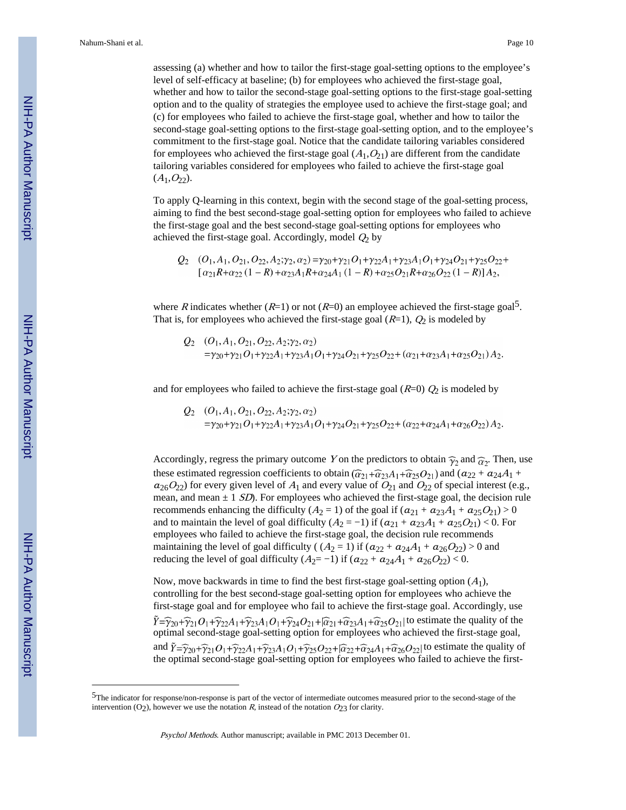assessing (a) whether and how to tailor the first-stage goal-setting options to the employee's level of self-efficacy at baseline; (b) for employees who achieved the first-stage goal, whether and how to tailor the second-stage goal-setting options to the first-stage goal-setting option and to the quality of strategies the employee used to achieve the first-stage goal; and (c) for employees who failed to achieve the first-stage goal, whether and how to tailor the second-stage goal-setting options to the first-stage goal-setting option, and to the employee's commitment to the first-stage goal. Notice that the candidate tailoring variables considered for employees who achieved the first-stage goal  $(A_1, O_2)$  are different from the candidate tailoring variables considered for employees who failed to achieve the first-stage goal  $(A_1, O_{22}).$ 

To apply Q-learning in this context, begin with the second stage of the goal-setting process, aiming to find the best second-stage goal-setting option for employees who failed to achieve the first-stage goal and the best second-stage goal-setting options for employees who achieved the first-stage goal. Accordingly, model  $Q_2$  by

$$
Q_2 \quad (O_1, A_1, O_{21}, O_{22}, A_2; \gamma_2, \alpha_2) = \gamma_{20} + \gamma_{21} O_1 + \gamma_{22} A_1 + \gamma_{23} A_1 O_1 + \gamma_{24} O_{21} + \gamma_{25} O_{22} +
$$
  
\n
$$
[\alpha_{21} R + \alpha_{22} (1 - R) + \alpha_{23} A_1 R + \alpha_{24} A_1 (1 - R) + \alpha_{25} O_{21} R + \alpha_{26} O_{22} (1 - R)] A_2,
$$

where R indicates whether  $(R=1)$  or not  $(R=0)$  an employee achieved the first-stage goal<sup>5</sup>. That is, for employees who achieved the first-stage goal  $(R=1)$ ,  $Q_2$  is modeled by

$$
Q_2 \quad (O_1, A_1, O_{21}, O_{22}, A_2; \gamma_2, \alpha_2)
$$
  
= $\gamma_{20}+\gamma_{21}O_1+\gamma_{22}A_1+\gamma_{23}A_1O_1+\gamma_{24}O_{21}+\gamma_{25}O_{22}+(\alpha_{21}+\alpha_{23}A_1+\alpha_{25}O_{21})A_2.$ 

and for employees who failed to achieve the first-stage goal  $(R=0)$   $Q_2$  is modeled by

$$
Q_2 \quad (O_1, A_1, O_{21}, O_{22}, A_2; \gamma_2, \alpha_2)
$$
  
=\gamma\_{20}+\gamma\_{21}O\_1+\gamma\_{22}A\_1+\gamma\_{23}A\_1O\_1+\gamma\_{24}O\_{21}+\gamma\_{25}O\_{22}+(\alpha\_{22}+\alpha\_{24}A\_1+\alpha\_{26}O\_{22})A\_2.

Accordingly, regress the primary outcome Y on the predictors to obtain  $\hat{\gamma}_2$  and  $\hat{\alpha}_2$ . Then, use these estimated regression coefficients to obtain  $(\widehat{\alpha}_{21}+\widehat{\alpha}_{23}A_1+\widehat{\alpha}_{25}O_{21})$  and  $(a_{22}+a_{24}A_1+$  $a_{26}O_{22}$ ) for every given level of  $A_1$  and every value of  $O_{21}$  and  $O_{22}$  of special interest (e.g., mean, and mean  $\pm 1$  *SD*). For employees who achieved the first-stage goal, the decision rule recommends enhancing the difficulty ( $A_2 = 1$ ) of the goal if  $(a_{21} + a_{23}A_1 + a_{25}O_{21}) > 0$ and to maintain the level of goal difficulty  $(A_2 = -1)$  if  $(a_{21} + a_{23}A_1 + a_{25}O_{21}) < 0$ . For employees who failed to achieve the first-stage goal, the decision rule recommends maintaining the level of goal difficulty ( $(A_2 = 1)$  if  $(a_{22} + a_{24}A_1 + a_{26}O_{22}) > 0$  and reducing the level of goal difficulty  $(A_2 = -1)$  if  $(a_{22} + a_{24}A_1 + a_{26}O_{22}) < 0$ .

Now, move backwards in time to find the best first-stage goal-setting option  $(A_1)$ , controlling for the best second-stage goal-setting option for employees who achieve the first-stage goal and for employee who fail to achieve the first-stage goal. Accordingly, use  $\hat{Y} = \hat{\gamma}_{20} + \hat{\gamma}_{21}O_1 + \hat{\gamma}_{22}A_1 + \hat{\gamma}_{23}A_1O_1 + \hat{\gamma}_{24}O_{21} + \hat{\alpha}_{23}A_1 + \hat{\alpha}_{25}O_{21}$  to estimate the quality of the optimal second-stage goal-setting option for employees who achieved the first-stage goal, and  $\tilde{Y} = \tilde{\gamma}_{20} + \tilde{\gamma}_{21}O_1 + \tilde{\gamma}_{22}A_1 + \tilde{\gamma}_{23}A_1O_1 + \tilde{\gamma}_{25}O_{22} + \tilde{\alpha}_{24}A_1 + \tilde{\alpha}_{26}O_{22}$  to estimate the quality of the optimal second-stage goal-setting option for employees who failed to achieve the first-

<sup>5</sup>The indicator for response/non-response is part of the vector of intermediate outcomes measured prior to the second-stage of the intervention (O<sub>2</sub>), however we use the notation R, instead of the notation  $O_{23}$  for clarity.

Psychol Methods. Author manuscript; available in PMC 2013 December 01.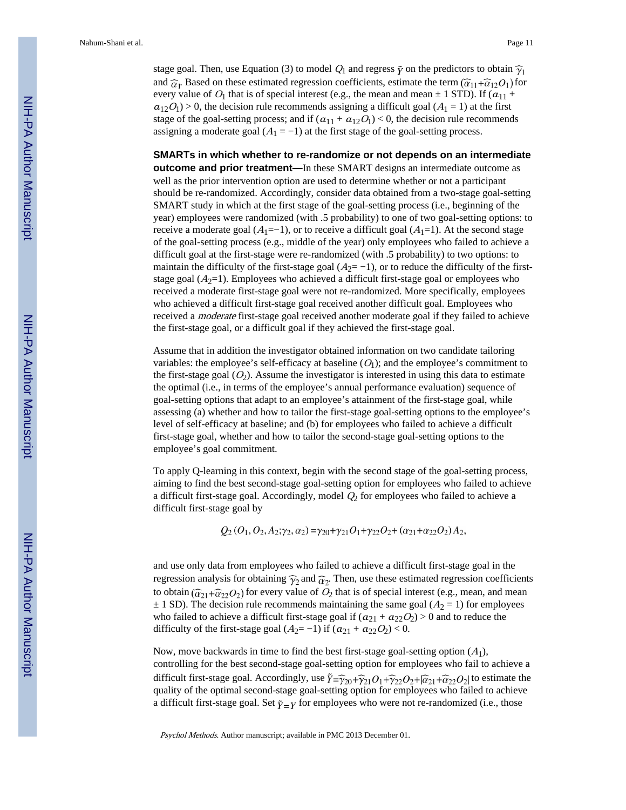stage goal. Then, use Equation (3) to model  $Q_1$  and regress  $\tilde{\gamma}$  on the predictors to obtain  $\hat{\gamma}_1$ and  $\hat{\alpha}_1$ . Based on these estimated regression coefficients, estimate the term  $(\hat{\alpha}_{11} + \hat{\alpha}_{12}O_1)$  for every value of  $O_1$  that is of special interest (e.g., the mean and mean  $\pm$  1 STD). If ( $a_{11}$  +  $a_{12}O_1$ ) > 0, the decision rule recommends assigning a difficult goal ( $A_1 = 1$ ) at the first stage of the goal-setting process; and if  $(a_{11} + a_{12}O_1) < 0$ , the decision rule recommends assigning a moderate goal  $(A_1 = -1)$  at the first stage of the goal-setting process.

**SMARTs in which whether to re-randomize or not depends on an intermediate outcome and prior treatment—**In these SMART designs an intermediate outcome as well as the prior intervention option are used to determine whether or not a participant should be re-randomized. Accordingly, consider data obtained from a two-stage goal-setting SMART study in which at the first stage of the goal-setting process (i.e., beginning of the year) employees were randomized (with .5 probability) to one of two goal-setting options: to receive a moderate goal  $(A_1=-1)$ , or to receive a difficult goal  $(A_1=1)$ . At the second stage of the goal-setting process (e.g., middle of the year) only employees who failed to achieve a difficult goal at the first-stage were re-randomized (with .5 probability) to two options: to maintain the difficulty of the first-stage goal  $(A_2=-1)$ , or to reduce the difficulty of the firststage goal  $(A_2=1)$ . Employees who achieved a difficult first-stage goal or employees who received a moderate first-stage goal were not re-randomized. More specifically, employees who achieved a difficult first-stage goal received another difficult goal. Employees who received a moderate first-stage goal received another moderate goal if they failed to achieve the first-stage goal, or a difficult goal if they achieved the first-stage goal.

Assume that in addition the investigator obtained information on two candidate tailoring variables: the employee's self-efficacy at baseline  $(O<sub>1</sub>)$ ; and the employee's commitment to the first-stage goal  $(O_2)$ . Assume the investigator is interested in using this data to estimate the optimal (i.e., in terms of the employee's annual performance evaluation) sequence of goal-setting options that adapt to an employee's attainment of the first-stage goal, while assessing (a) whether and how to tailor the first-stage goal-setting options to the employee's level of self-efficacy at baseline; and (b) for employees who failed to achieve a difficult first-stage goal, whether and how to tailor the second-stage goal-setting options to the employee's goal commitment.

To apply Q-learning in this context, begin with the second stage of the goal-setting process, aiming to find the best second-stage goal-setting option for employees who failed to achieve a difficult first-stage goal. Accordingly, model  $Q_2$  for employees who failed to achieve a difficult first-stage goal by

 $Q_2(Q_1, Q_2, A_2; \gamma_2, \alpha_2) = \gamma_{20} + \gamma_{21}Q_1 + \gamma_{22}Q_2 + (\alpha_{21} + \alpha_{22}Q_2)A_2,$ 

and use only data from employees who failed to achieve a difficult first-stage goal in the regression analysis for obtaining  $\hat{\gamma}_2$  and  $\hat{\alpha}_2$ . Then, use these estimated regression coefficients to obtain  $(\widehat{\alpha}_{21}+\widehat{\alpha}_{22}O_2)$  for every value of  $O_2$  that is of special interest (e.g., mean, and mean  $\pm$  1 SD). The decision rule recommends maintaining the same goal ( $A_2$  = 1) for employees who failed to achieve a difficult first-stage goal if  $(a_{21} + a_{22}O_2) > 0$  and to reduce the difficulty of the first-stage goal  $(A_2 = -1)$  if  $(a_{21} + a_{22}O_2) < 0$ .

Now, move backwards in time to find the best first-stage goal-setting option  $(A_1)$ , controlling for the best second-stage goal-setting option for employees who fail to achieve a difficult first-stage goal. Accordingly, use  $\tilde{Y} = \tilde{\gamma}_{20} + \tilde{\gamma}_{21}O_1 + \tilde{\gamma}_{22}O_2 + |\tilde{\alpha}_{21} + \tilde{\alpha}_{22}O_2|$  to estimate the quality of the optimal second-stage goal-setting option for employees who failed to achieve a difficult first-stage goal. Set  $\tilde{\gamma} = Y$  for employees who were not re-randomized (i.e., those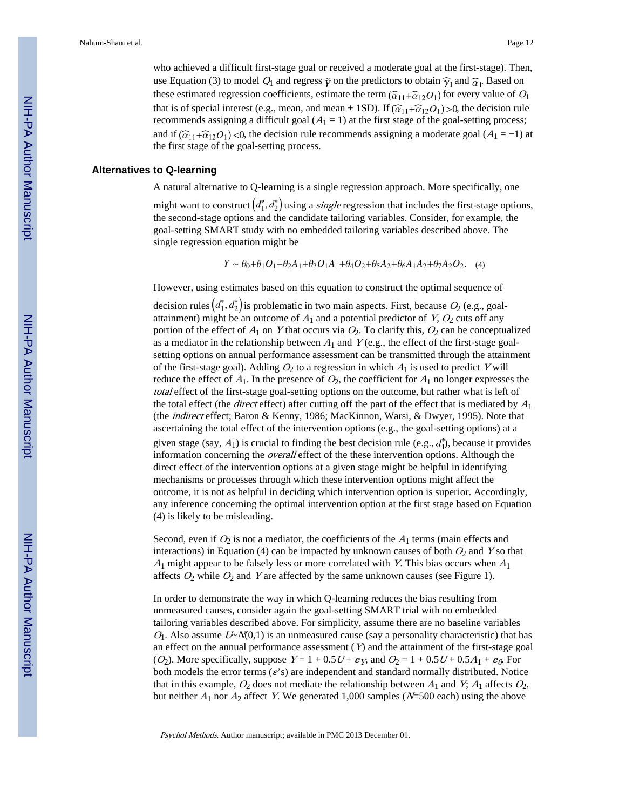who achieved a difficult first-stage goal or received a moderate goal at the first-stage). Then, use Equation (3) to model  $Q_1$  and regress  $\tilde{\gamma}$  on the predictors to obtain  $\hat{\gamma}_1$  and  $\hat{\alpha}_1$ . Based on these estimated regression coefficients, estimate the term  $(\widehat{\alpha}_{11} + \widehat{\alpha}_{12}O_1)$  for every value of  $O_1$ that is of special interest (e.g., mean, and mean  $\pm$  1SD). If  $(\widehat{\alpha}_{11}+\widehat{\alpha}_{12}O_1)$  >0, the decision rule recommends assigning a difficult goal  $(A_1 = 1)$  at the first stage of the goal-setting process; and if  $(\widehat{\alpha}_{11} + \widehat{\alpha}_{12}O_1)$  <0, the decision rule recommends assigning a moderate goal (A<sub>1</sub> = −1) at the first stage of the goal-setting process.

#### **Alternatives to Q-learning**

A natural alternative to Q-learning is a single regression approach. More specifically, one

might want to construct  $(d_1^*, d_2^*)$  using a *single* regression that includes the first-stage options, the second-stage options and the candidate tailoring variables. Consider, for example, the goal-setting SMART study with no embedded tailoring variables described above. The single regression equation might be

 $Y \sim \theta_0 + \theta_1 O_1 + \theta_2 A_1 + \theta_3 O_1 A_1 + \theta_4 O_2 + \theta_5 A_2 + \theta_6 A_1 A_2 + \theta_7 A_2 O_2$ . (4)

However, using estimates based on this equation to construct the optimal sequence of

decision rules  $(d_1^*, d_2^*)$  is problematic in two main aspects. First, because  $O_2$  (e.g., goalattainment) might be an outcome of  $A_1$  and a potential predictor of Y,  $O_2$  cuts off any portion of the effect of  $A_1$  on Y that occurs via  $O_2$ . To clarify this,  $O_2$  can be conceptualized as a mediator in the relationship between  $A_1$  and  $Y$  (e.g., the effect of the first-stage goalsetting options on annual performance assessment can be transmitted through the attainment of the first-stage goal). Adding  $O_2$  to a regression in which  $A_1$  is used to predict Y will reduce the effect of  $A_1$ . In the presence of  $O_2$ , the coefficient for  $A_1$  no longer expresses the total effect of the first-stage goal-setting options on the outcome, but rather what is left of the total effect (the *direct* effect) after cutting off the part of the effect that is mediated by  $A_1$ (the indirect effect; Baron & Kenny, 1986; MacKinnon, Warsi, & Dwyer, 1995). Note that ascertaining the total effect of the intervention options (e.g., the goal-setting options) at a given stage (say,  $A_1$ ) is crucial to finding the best decision rule (e.g.,  $d_1^*$ ), because it provides information concerning the overall effect of the these intervention options. Although the direct effect of the intervention options at a given stage might be helpful in identifying mechanisms or processes through which these intervention options might affect the outcome, it is not as helpful in deciding which intervention option is superior. Accordingly, any inference concerning the optimal intervention option at the first stage based on Equation (4) is likely to be misleading.

Second, even if  $O_2$  is not a mediator, the coefficients of the  $A_1$  terms (main effects and interactions) in Equation (4) can be impacted by unknown causes of both  $O_2$  and Y so that  $A_1$  might appear to be falsely less or more correlated with Y. This bias occurs when  $A_1$ affects  $O_2$  while  $O_2$  and Y are affected by the same unknown causes (see Figure 1).

In order to demonstrate the way in which Q-learning reduces the bias resulting from unmeasured causes, consider again the goal-setting SMART trial with no embedded tailoring variables described above. For simplicity, assume there are no baseline variables  $O_1$ . Also assume  $U \sim N(0,1)$  is an unmeasured cause (say a personality characteristic) that has an effect on the annual performance assessment  $(Y)$  and the attainment of the first-stage goal (O<sub>2</sub>). More specifically, suppose  $Y = 1 + 0.5U + \varepsilon_Y$ , and  $O_2 = 1 + 0.5U + 0.5A_1 + \varepsilon_Q$  For both models the error terms ( $e$ 's) are independent and standard normally distributed. Notice that in this example,  $O_2$  does not mediate the relationship between  $A_1$  and  $Y$ ;  $A_1$  affects  $O_2$ , but neither  $A_1$  nor  $A_2$  affect Y. We generated 1,000 samples (N=500 each) using the above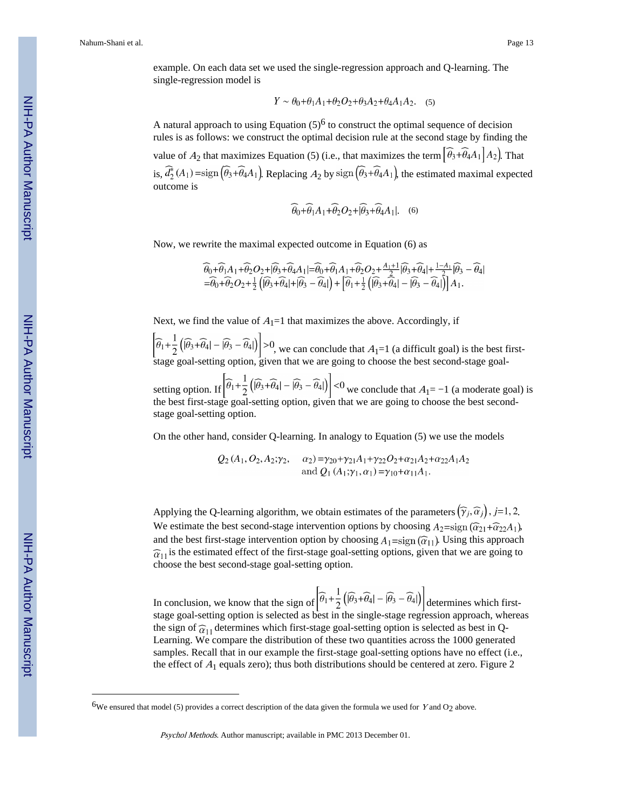example. On each data set we used the single-regression approach and Q-learning. The single-regression model is

$$
Y \sim \theta_0 + \theta_1 A_1 + \theta_2 O_2 + \theta_3 A_2 + \theta_4 A_1 A_2. \quad (5)
$$

A natural approach to using Equation  $(5)^6$  to construct the optimal sequence of decision rules is as follows: we construct the optimal decision rule at the second stage by finding the

value of  $A_2$  that maximizes Equation (5) (i.e., that maximizes the term  $\left[\widehat{\theta}_3 + \widehat{\theta}_4 A_1 \right] A_2$ ). That is,  $\widehat{d}_2^*(A_1)$  =sign  $(\widehat{\theta}_3 + \widehat{\theta}_4 A_1)$ . Replacing  $A_2$  by sign  $(\widehat{\theta}_3 + \widehat{\theta}_4 A_1)$ , the estimated maximal expected outcome is

$$
\widehat{\theta}_0 + \widehat{\theta}_1 A_1 + \widehat{\theta}_2 O_2 + [\widehat{\theta}_3 + \widehat{\theta}_4 A_1].
$$
 (6)

Now, we rewrite the maximal expected outcome in Equation (6) as

$$
\begin{aligned}\n\widehat{\theta}_0 + \widehat{\theta}_1 A_1 + \widehat{\theta}_2 O_2 + \widehat{\theta}_3 + \widehat{\theta}_4 A_1 | &= \widehat{\theta}_0 + \widehat{\theta}_1 A_1 + \widehat{\theta}_2 O_2 + \frac{A_1 + 1}{2} |\widehat{\theta}_3 + \widehat{\theta}_4| + \frac{1 - A_1}{2} |\widehat{\theta}_3 - \widehat{\theta}_4| \\
&= \widehat{\theta}_0 + \widehat{\theta}_2 O_2 + \frac{1}{2} \left( |\widehat{\theta}_3 + \widehat{\theta}_4| + |\widehat{\theta}_3 - \widehat{\theta}_4| \right) + \left[ \widehat{\theta}_1 + \frac{1}{2} \left( |\widehat{\theta}_3 + \widehat{\theta}_4| - |\widehat{\theta}_3 - \widehat{\theta}_4| \right) \right] A_1.\n\end{aligned}
$$

Next, we find the value of  $A_1=1$  that maximizes the above. Accordingly, if

, we can conclude that  $A_1=1$  (a difficult goal) is the best firststage goal-setting option, given that we are going to choose the best second-stage goal-

setting option. If  $\left|\frac{\sigma_1+\sigma_2}{2}\right|\frac{\sigma_3+\sigma_4}{2}$  =  $\frac{\sigma_4}{2}$  we conclude that  $A_1=-1$  (a moderate goal) is the best first-stage goal-setting option, given that we are going to choose the best secondstage goal-setting option.

On the other hand, consider Q-learning. In analogy to Equation (5) we use the models

 $Q_2(A_1, O_2, A_2; \gamma_2, \alpha_2) = \gamma_{20} + \gamma_{21}A_1 + \gamma_{22}O_2 + \alpha_{21}A_2 + \alpha_{22}A_1A_2$ and  $Q_1(A_1; \gamma_1, \alpha_1) = \gamma_{10} + \alpha_{11}A_1$ .

Applying the Q-learning algorithm, we obtain estimates of the parameters  $(\widehat{\gamma}_i, \widehat{\alpha}_j)$ , j=1, 2. We estimate the best second-stage intervention options by choosing  $A_2 = sign(\widehat{\alpha}_{21} + \widehat{\alpha}_{22}A_1)$ , and the best first-stage intervention option by choosing  $A_1 = sign(\widehat{\alpha}_{11})$ . Using this approach  $\hat{\alpha}_{11}$  is the estimated effect of the first-stage goal-setting options, given that we are going to choose the best second-stage goal-setting option.

In conclusion, we know that the sign of  $\left|\widehat{\theta_1}+\frac{1}{2}(\widehat{\theta_3}+\widehat{\theta_4})-\widehat{\theta_3}-\widehat{\theta_4}|\right)$  determines which firststage goal-setting option is selected as best in the single-stage regression approach, whereas the sign of  $\hat{\alpha}_{11}$  determines which first-stage goal-setting option is selected as best in Q-Learning. We compare the distribution of these two quantities across the 1000 generated samples. Recall that in our example the first-stage goal-setting options have no effect (i.e., the effect of  $A_1$  equals zero); thus both distributions should be centered at zero. Figure 2

<sup>&</sup>lt;sup>6</sup>We ensured that model (5) provides a correct description of the data given the formula we used for  $Y$  and  $O_2$  above.

Psychol Methods. Author manuscript; available in PMC 2013 December 01.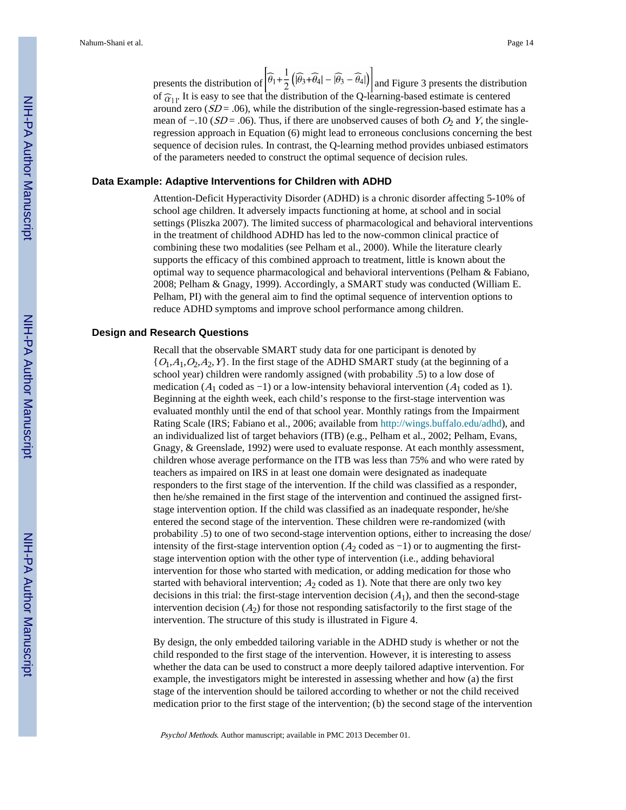presents the distribution of  $\left[\widehat{\theta}_1 + \frac{1}{2} \left( [\widehat{\theta}_3 + \widehat{\theta}_4] - [\widehat{\theta}_3 - \widehat{\theta}_4] \right)\right]$  and Figure 3 presents the distribution of  $\hat{\alpha}_{11}$ . It is easy to see that the distribution of the Q-learning-based estimate is centered around zero  $(SD = .06)$ , while the distribution of the single-regression-based estimate has a mean of  $-.10$  ( $SD = .06$ ). Thus, if there are unobserved causes of both  $O_2$  and Y, the singleregression approach in Equation (6) might lead to erroneous conclusions concerning the best sequence of decision rules. In contrast, the Q-learning method provides unbiased estimators of the parameters needed to construct the optimal sequence of decision rules.

#### **Data Example: Adaptive Interventions for Children with ADHD**

Attention-Deficit Hyperactivity Disorder (ADHD) is a chronic disorder affecting 5-10% of school age children. It adversely impacts functioning at home, at school and in social settings (Pliszka 2007). The limited success of pharmacological and behavioral interventions in the treatment of childhood ADHD has led to the now-common clinical practice of combining these two modalities (see Pelham et al., 2000). While the literature clearly supports the efficacy of this combined approach to treatment, little is known about the optimal way to sequence pharmacological and behavioral interventions (Pelham & Fabiano, 2008; Pelham & Gnagy, 1999). Accordingly, a SMART study was conducted (William E. Pelham, PI) with the general aim to find the optimal sequence of intervention options to reduce ADHD symptoms and improve school performance among children.

#### **Design and Research Questions**

Recall that the observable SMART study data for one participant is denoted by  ${O_1, A_1, O_2, A_2, Y}$ . In the first stage of the ADHD SMART study (at the beginning of a school year) children were randomly assigned (with probability .5) to a low dose of medication ( $A_1$  coded as -1) or a low-intensity behavioral intervention ( $A_1$  coded as 1). Beginning at the eighth week, each child's response to the first-stage intervention was evaluated monthly until the end of that school year. Monthly ratings from the Impairment Rating Scale (IRS; Fabiano et al., 2006; available from [http://wings.buffalo.edu/adhd\)](http://wings.buffalo.edu/adhd), and an individualized list of target behaviors (ITB) (e.g., Pelham et al., 2002; Pelham, Evans, Gnagy, & Greenslade, 1992) were used to evaluate response. At each monthly assessment, children whose average performance on the ITB was less than 75% and who were rated by teachers as impaired on IRS in at least one domain were designated as inadequate responders to the first stage of the intervention. If the child was classified as a responder, then he/she remained in the first stage of the intervention and continued the assigned firststage intervention option. If the child was classified as an inadequate responder, he/she entered the second stage of the intervention. These children were re-randomized (with probability .5) to one of two second-stage intervention options, either to increasing the dose/ intensity of the first-stage intervention option ( $A_2$  coded as -1) or to augmenting the firststage intervention option with the other type of intervention (i.e., adding behavioral intervention for those who started with medication, or adding medication for those who started with behavioral intervention;  $A_2$  coded as 1). Note that there are only two key decisions in this trial: the first-stage intervention decision  $(A_1)$ , and then the second-stage intervention decision  $(A_2)$  for those not responding satisfactorily to the first stage of the intervention. The structure of this study is illustrated in Figure 4.

By design, the only embedded tailoring variable in the ADHD study is whether or not the child responded to the first stage of the intervention. However, it is interesting to assess whether the data can be used to construct a more deeply tailored adaptive intervention. For example, the investigators might be interested in assessing whether and how (a) the first stage of the intervention should be tailored according to whether or not the child received medication prior to the first stage of the intervention; (b) the second stage of the intervention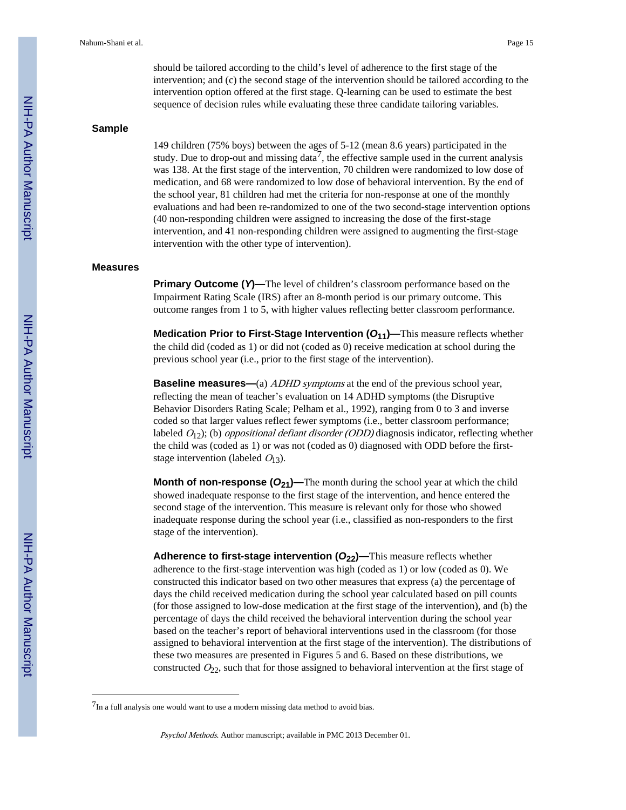should be tailored according to the child's level of adherence to the first stage of the intervention; and (c) the second stage of the intervention should be tailored according to the intervention option offered at the first stage. Q-learning can be used to estimate the best sequence of decision rules while evaluating these three candidate tailoring variables.

#### **Sample**

149 children (75% boys) between the ages of 5-12 (mean 8.6 years) participated in the study. Due to drop-out and missing data<sup>7</sup>, the effective sample used in the current analysis was 138. At the first stage of the intervention, 70 children were randomized to low dose of medication, and 68 were randomized to low dose of behavioral intervention. By the end of the school year, 81 children had met the criteria for non-response at one of the monthly evaluations and had been re-randomized to one of the two second-stage intervention options (40 non-responding children were assigned to increasing the dose of the first-stage intervention, and 41 non-responding children were assigned to augmenting the first-stage intervention with the other type of intervention).

#### **Measures**

**Primary Outcome (** $Y$ **)—The level of children's classroom performance based on the** Impairment Rating Scale (IRS) after an 8-month period is our primary outcome. This outcome ranges from 1 to 5, with higher values reflecting better classroom performance.

**Medication Prior to First-Stage Intervention (** $O_{11}$ **)—This measure reflects whether** the child did (coded as 1) or did not (coded as 0) receive medication at school during the previous school year (i.e., prior to the first stage of the intervention).

**Baseline measures—(a)** ADHD symptoms at the end of the previous school year, reflecting the mean of teacher's evaluation on 14 ADHD symptoms (the Disruptive Behavior Disorders Rating Scale; Pelham et al., 1992), ranging from 0 to 3 and inverse coded so that larger values reflect fewer symptoms (i.e., better classroom performance; labeled  $O_{12}$ ); (b) *oppositional defiant disorder (ODD)* diagnosis indicator, reflecting whether the child was (coded as 1) or was not (coded as 0) diagnosed with ODD before the firststage intervention (labeled  $O_{13}$ ).

**Month of non-response (O<sub>21</sub>)—The month during the school year at which the child** showed inadequate response to the first stage of the intervention, and hence entered the second stage of the intervention. This measure is relevant only for those who showed inadequate response during the school year (i.e., classified as non-responders to the first stage of the intervention).

**Adherence to first-stage intervention (***O***22)—**This measure reflects whether adherence to the first-stage intervention was high (coded as 1) or low (coded as 0). We constructed this indicator based on two other measures that express (a) the percentage of days the child received medication during the school year calculated based on pill counts (for those assigned to low-dose medication at the first stage of the intervention), and (b) the percentage of days the child received the behavioral intervention during the school year based on the teacher's report of behavioral interventions used in the classroom (for those assigned to behavioral intervention at the first stage of the intervention). The distributions of these two measures are presented in Figures 5 and 6. Based on these distributions, we constructed  $O_{22}$ , such that for those assigned to behavioral intervention at the first stage of

 $7$ In a full analysis one would want to use a modern missing data method to avoid bias.

Psychol Methods. Author manuscript; available in PMC 2013 December 01.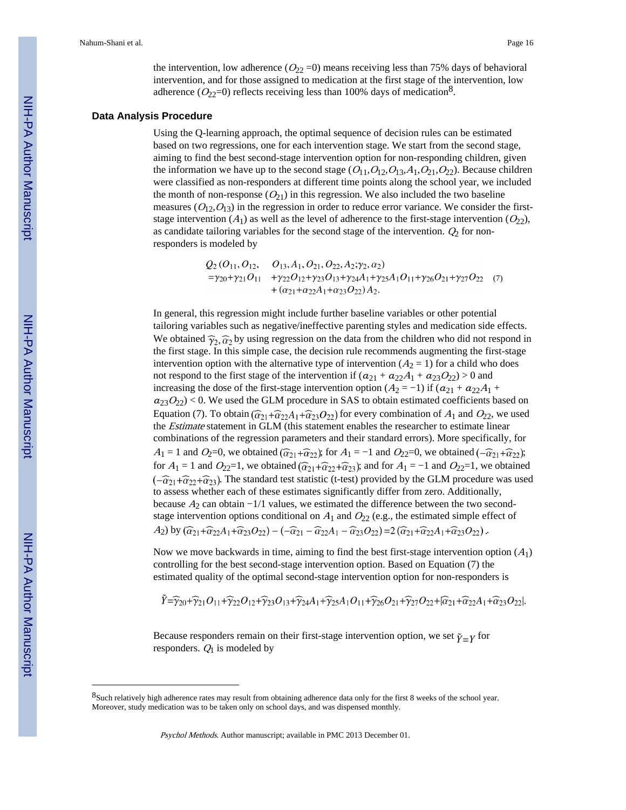the intervention, low adherence ( $O_{22}$  =0) means receiving less than 75% days of behavioral intervention, and for those assigned to medication at the first stage of the intervention, low adherence ( $O_{22}=0$ ) reflects receiving less than 100% days of medication<sup>8</sup>.

#### **Data Analysis Procedure**

Using the Q-learning approach, the optimal sequence of decision rules can be estimated based on two regressions, one for each intervention stage. We start from the second stage, aiming to find the best second-stage intervention option for non-responding children, given the information we have up to the second stage  $(O_{11}, O_{12}, O_{13}, A_1, O_{21}, O_{22})$ . Because children were classified as non-responders at different time points along the school year, we included the month of non-response  $(O_{21})$  in this regression. We also included the two baseline measures  $(O_{12}, O_{13})$  in the regression in order to reduce error variance. We consider the firststage intervention  $(A_1)$  as well as the level of adherence to the first-stage intervention  $(O_{22})$ , as candidate tailoring variables for the second stage of the intervention.  $Q_2$  for nonresponders is modeled by

$$
Q_2 (O_{11}, O_{12}, O_{13}, A_1, O_{21}, O_{22}, A_2; \gamma_2, \alpha_2)
$$
  
= $\gamma_{20}+\gamma_{21}O_{11} + \gamma_{22}O_{12}+\gamma_{23}O_{13}+\gamma_{24}A_1+\gamma_{25}A_1O_{11}+\gamma_{26}O_{21}+\gamma_{27}O_{22} (7)$   
+ $(\alpha_{21}+\alpha_{22}A_1+\alpha_{23}O_{22})A_2.$ 

In general, this regression might include further baseline variables or other potential tailoring variables such as negative/ineffective parenting styles and medication side effects. We obtained  $\widehat{\gamma}_2$ ,  $\widehat{\alpha}_2$  by using regression on the data from the children who did not respond in the first stage. In this simple case, the decision rule recommends augmenting the first-stage intervention option with the alternative type of intervention  $(A_2 = 1)$  for a child who does not respond to the first stage of the intervention if  $(a_{21} + a_{22}A_1 + a_{23}O_{22}) > 0$  and increasing the dose of the first-stage intervention option ( $A_2 = -1$ ) if  $(a_{21} + a_{22}A_1 + a_{22}A_2A_2)$  $a_{23}O_{22}$  < 0. We used the GLM procedure in SAS to obtain estimated coefficients based on Equation (7). To obtain  $(\widehat{\alpha}_{21}+\widehat{\alpha}_{22}A_1+\widehat{\alpha}_{23}O_{22})$  for every combination of  $A_1$  and  $O_{22}$ , we used the *Estimate* statement in GLM (this statement enables the researcher to estimate linear combinations of the regression parameters and their standard errors). More specifically, for  $A_1 = 1$  and  $O_2=0$ , we obtained  $(\widehat{\alpha}_{21} + \widehat{\alpha}_{22})$ ; for  $A_1 = -1$  and  $O_{22}=0$ , we obtained  $(-\widehat{\alpha}_{21} + \widehat{\alpha}_{22})$ ; for  $A_1 = 1$  and  $O_{22} = 1$ , we obtained  $(\widehat{\alpha}_{21} + \widehat{\alpha}_{22} + \widehat{\alpha}_{23})$ ; and for  $A_1 = -1$  and  $O_{22} = 1$ , we obtained  $(-\widehat{\alpha}_{21}+\widehat{\alpha}_{22}+\widehat{\alpha}_{23})$ . The standard test statistic (t-test) provided by the GLM procedure was used to assess whether each of these estimates significantly differ from zero. Additionally, because  $A_2$  can obtain  $-1/1$  values, we estimated the difference between the two secondstage intervention options conditional on  $A_1$  and  $O_{22}$  (e.g., the estimated simple effect of  $A_2$ ) by  $(\widehat{\alpha}_{21}+\widehat{\alpha}_{22}A_1+\widehat{\alpha}_{23}O_{22}) - (-\widehat{\alpha}_{21}-\widehat{\alpha}_{22}A_1-\widehat{\alpha}_{23}O_{22}) = 2(\widehat{\alpha}_{21}+\widehat{\alpha}_{22}A_1+\widehat{\alpha}_{23}O_{22}).$ 

Now we move backwards in time, aiming to find the best first-stage intervention option  $(A_1)$ controlling for the best second-stage intervention option. Based on Equation (7) the estimated quality of the optimal second-stage intervention option for non-responders is

$$
\widetilde{Y}=\widehat{\gamma}_{20}+\widehat{\gamma}_{21}O_{11}+\widehat{\gamma}_{22}O_{12}+\widehat{\gamma}_{23}O_{13}+\widehat{\gamma}_{24}A_1+\widehat{\gamma}_{25}A_1O_{11}+\widehat{\gamma}_{26}O_{21}+\widehat{\gamma}_{27}O_{22}+|\widehat{\alpha}_{21}+\widehat{\alpha}_{22}A_1+\widehat{\alpha}_{23}O_{22}|.
$$

Because responders remain on their first-stage intervention option, we set  $\tilde{\gamma} = \gamma$  for responders.  $Q_1$  is modeled by

<sup>8</sup>Such relatively high adherence rates may result from obtaining adherence data only for the first 8 weeks of the school year. Moreover, study medication was to be taken only on school days, and was dispensed monthly.

Psychol Methods. Author manuscript; available in PMC 2013 December 01.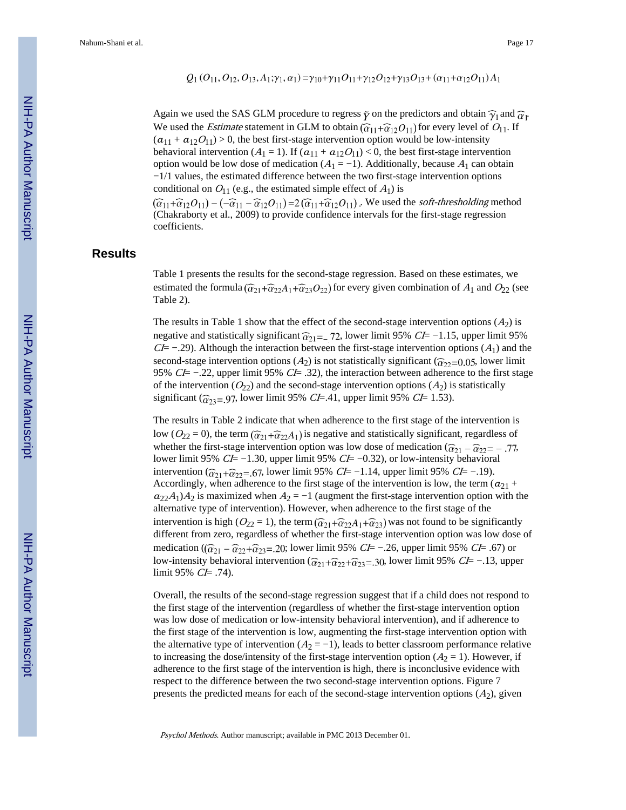$$
Q_1(O_{11}, O_{12}, O_{13}, A_1; \gamma_1, \alpha_1) = \gamma_{10} + \gamma_{11}O_{11} + \gamma_{12}O_{12} + \gamma_{13}O_{13} + (\alpha_{11} + \alpha_{12}O_{11})A_1
$$

Again we used the SAS GLM procedure to regress  $\tilde{\gamma}$  on the predictors and obtain  $\hat{\gamma}_1$  and  $\hat{\alpha}_1$ . We used the *Estimate* statement in GLM to obtain  $(\widehat{\alpha}_{11} + \widehat{\alpha}_{12}O_{11})$  for every level of  $O_{11}$ . If  $(a_{11} + a_{12}O_{11}) > 0$ , the best first-stage intervention option would be low-intensity behavioral intervention ( $A_1 = 1$ ). If  $(a_{11} + a_{12}O_{11}) < 0$ , the best first-stage intervention option would be low dose of medication ( $A_1 = -1$ ). Additionally, because  $A_1$  can obtain −1/1 values, the estimated difference between the two first-stage intervention options conditional on  $O_{11}$  (e.g., the estimated simple effect of  $A_1$ ) is

 $(\widehat{\alpha}_{11}+\widehat{\alpha}_{12}O_{11})-(-\widehat{\alpha}_{11}-\widehat{\alpha}_{12}O_{11})=2(\widehat{\alpha}_{11}+\widehat{\alpha}_{12}O_{11})$ . We used the *soft-thresholding* method (Chakraborty et al., 2009) to provide confidence intervals for the first-stage regression coefficients.

#### **Results**

Table 1 presents the results for the second-stage regression. Based on these estimates, we estimated the formula  $(\widehat{\alpha}_{21}+\widehat{\alpha}_{22}A_1+\widehat{\alpha}_{23}O_{22})$  for every given combination of  $A_1$  and  $O_{22}$  (see Table 2).

The results in Table 1 show that the effect of the second-stage intervention options  $(A<sub>2</sub>)$  is negative and statistically significant  $\widehat{\alpha}_{21}$ = 72, lower limit 95% CI= −1.15, upper limit 95%  $CE - .29$ ). Although the interaction between the first-stage intervention options ( $A_1$ ) and the second-stage intervention options ( $A_2$ ) is not statistically significant ( $\hat{\alpha}_{22}$ =0.05, lower limit 95% CI= −.22, upper limit 95% CI= .32), the interaction between adherence to the first stage of the intervention  $(O_{22})$  and the second-stage intervention options  $(A_2)$  is statistically significant ( $\hat{\alpha}_{23}$ =.97, lower limit 95% CI=.41, upper limit 95% CI= 1.53).

The results in Table 2 indicate that when adherence to the first stage of the intervention is low ( $O_{22} = 0$ ), the term  $(\widehat{\alpha}_{21} + \widehat{\alpha}_{22}A_1)$  is negative and statistically significant, regardless of whether the first-stage intervention option was low dose of medication  $(\widehat{\alpha}_{21} - \widehat{\alpha}_{22} = -.77,$ lower limit 95%  $C\bar{F}$  −1.30, upper limit 95%  $C\bar{F}$  −0.32), or low-intensity behavioral intervention ( $\hat{\alpha}_{21} + \hat{\alpha}_{22} = .67$ , lower limit 95% *CI*= −1.14, upper limit 95% *CI*= −1.19). Accordingly, when adherence to the first stage of the intervention is low, the term  $(a_{21} + a_{22})$  $a_{22}A_1A_2$  is maximized when  $A_2 = -1$  (augment the first-stage intervention option with the alternative type of intervention). However, when adherence to the first stage of the intervention is high ( $O_{22} = 1$ ), the term  $(\widehat{\alpha}_{21} + \widehat{\alpha}_{22}A_1 + \widehat{\alpha}_{23})$  was not found to be significantly different from zero, regardless of whether the first-stage intervention option was low dose of medication ( $(\widehat{\alpha}_{21} - \widehat{\alpha}_{22} + \widehat{\alpha}_{23} = .20)$ ; lower limit 95% *CI*= -.26, upper limit 95% *CI*= .67) or low-intensity behavioral intervention ( $\widehat{\alpha}_{21}+\widehat{\alpha}_{22}+\widehat{\alpha}_{23}=30$ , lower limit 95% *CI*= −.13, upper limit 95%  $CE = .74$ ).

Overall, the results of the second-stage regression suggest that if a child does not respond to the first stage of the intervention (regardless of whether the first-stage intervention option was low dose of medication or low-intensity behavioral intervention), and if adherence to the first stage of the intervention is low, augmenting the first-stage intervention option with the alternative type of intervention  $(A_2 = -1)$ , leads to better classroom performance relative to increasing the dose/intensity of the first-stage intervention option  $(A_2 = 1)$ . However, if adherence to the first stage of the intervention is high, there is inconclusive evidence with respect to the difference between the two second-stage intervention options. Figure 7 presents the predicted means for each of the second-stage intervention options  $(A_2)$ , given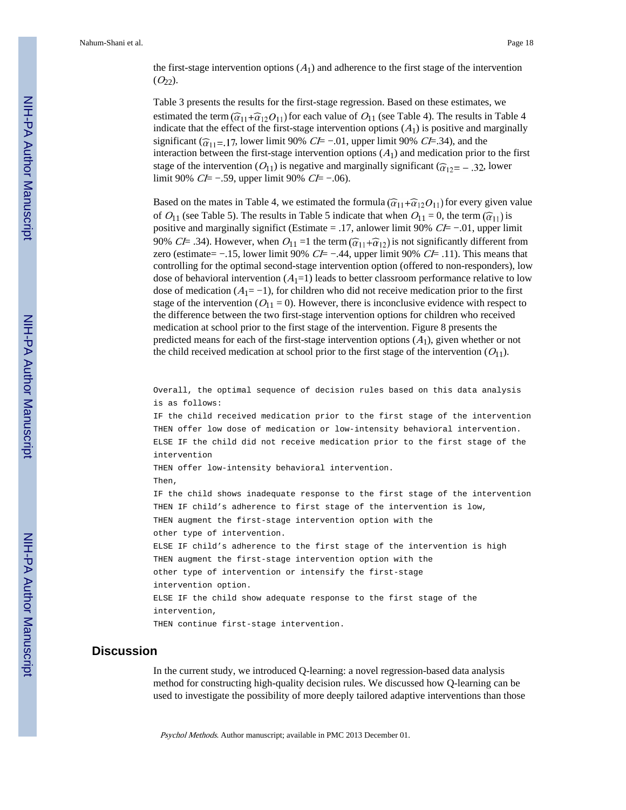the first-stage intervention options  $(A<sub>1</sub>)$  and adherence to the first stage of the intervention  $(O_{22})$ .

Table 3 presents the results for the first-stage regression. Based on these estimates, we estimated the term  $(\widehat{\alpha}_{11}+\widehat{\alpha}_{12}O_{11})$  for each value of  $O_{11}$  (see Table 4). The results in Table 4 indicate that the effect of the first-stage intervention options  $(A_1)$  is positive and marginally significant ( $\hat{\alpha}_{11}=17$ , lower limit 90% CI= -.01, upper limit 90% CI=.34), and the interaction between the first-stage intervention options  $(A<sub>1</sub>)$  and medication prior to the first stage of the intervention ( $O_{11}$ ) is negative and marginally significant ( $\hat{\alpha}_{12}$  = - .32, lower limit 90% *CI*= −.59, upper limit 90% *CI*= −.06).

Based on the mates in Table 4, we estimated the formula  $(\widehat{\alpha}_{11} + \widehat{\alpha}_{12}O_{11})$  for every given value of  $O_{11}$  (see Table 5). The results in Table 5 indicate that when  $O_{11} = 0$ , the term  $(\widehat{\alpha}_{11})$  is positive and marginally significt (Estimate = .17, anlower limit 90%  $C\bar{t}$  –.01, upper limit 90% CI= .34). However, when  $O_{11} = 1$  the term  $(\widehat{\alpha}_{11} + \widehat{\alpha}_{12})$  is not significantly different from zero (estimate=  $-15$ , lower limit 90%  $C = -14$ , upper limit 90%  $C = 11$ ). This means that controlling for the optimal second-stage intervention option (offered to non-responders), low dose of behavioral intervention  $(A_1=1)$  leads to better classroom performance relative to low dose of medication  $(A_1 = -1)$ , for children who did not receive medication prior to the first stage of the intervention ( $O_{11} = 0$ ). However, there is inconclusive evidence with respect to the difference between the two first-stage intervention options for children who received medication at school prior to the first stage of the intervention. Figure 8 presents the predicted means for each of the first-stage intervention options  $(A_1)$ , given whether or not the child received medication at school prior to the first stage of the intervention  $(O_{11})$ .

Overall, the optimal sequence of decision rules based on this data analysis is as follows:

IF the child received medication prior to the first stage of the intervention THEN offer low dose of medication or low-intensity behavioral intervention. ELSE IF the child did not receive medication prior to the first stage of the intervention

THEN offer low-intensity behavioral intervention.

Then,

IF the child shows inadequate response to the first stage of the intervention THEN IF child's adherence to first stage of the intervention is low, THEN augment the first-stage intervention option with the other type of intervention. ELSE IF child's adherence to the first stage of the intervention is high THEN augment the first-stage intervention option with the

other type of intervention or intensify the first-stage intervention option. ELSE IF the child show adequate response to the first stage of the

intervention,

THEN continue first-stage intervention.

#### **Discussion**

In the current study, we introduced Q-learning: a novel regression-based data analysis method for constructing high-quality decision rules. We discussed how Q-learning can be used to investigate the possibility of more deeply tailored adaptive interventions than those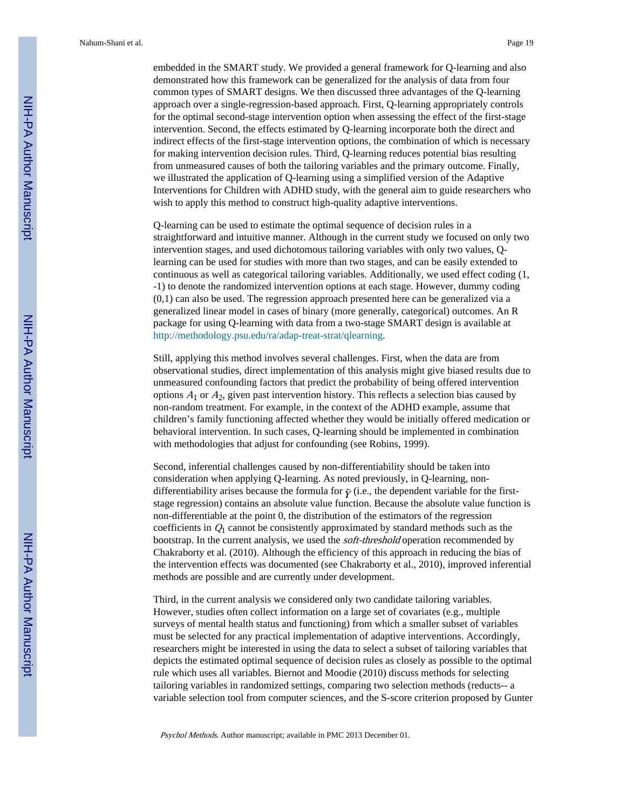embedded in the SMART study. We provided a general framework for Q-learning and also demonstrated how this framework can be generalized for the analysis of data from four common types of SMART designs. We then discussed three advantages of the Q-learning approach over a single-regression-based approach. First, Q-learning appropriately controls for the optimal second-stage intervention option when assessing the effect of the first-stage intervention. Second, the effects estimated by Q-learning incorporate both the direct and indirect effects of the first-stage intervention options, the combination of which is necessary for making intervention decision rules. Third, Q-learning reduces potential bias resulting from unmeasured causes of both the tailoring variables and the primary outcome. Finally, we illustrated the application of Q-learning using a simplified version of the Adaptive Interventions for Children with ADHD study, with the general aim to guide researchers who wish to apply this method to construct high-quality adaptive interventions.

Q-learning can be used to estimate the optimal sequence of decision rules in a straightforward and intuitive manner. Although in the current study we focused on only two intervention stages, and used dichotomous tailoring variables with only two values, Qlearning can be used for studies with more than two stages, and can be easily extended to continuous as well as categorical tailoring variables. Additionally, we used effect coding (1, -1) to denote the randomized intervention options at each stage. However, dummy coding (0,1) can also be used. The regression approach presented here can be generalized via a generalized linear model in cases of binary (more generally, categorical) outcomes. An R package for using Q-learning with data from a two-stage SMART design is available at <http://methodology.psu.edu/ra/adap-treat-strat/qlearning>.

Still, applying this method involves several challenges. First, when the data are from observational studies, direct implementation of this analysis might give biased results due to unmeasured confounding factors that predict the probability of being offered intervention options  $A_1$  or  $A_2$ , given past intervention history. This reflects a selection bias caused by non-random treatment. For example, in the context of the ADHD example, assume that children's family functioning affected whether they would be initially offered medication or behavioral intervention. In such cases, Q-learning should be implemented in combination with methodologies that adjust for confounding (see Robins, 1999).

Second, inferential challenges caused by non-differentiability should be taken into consideration when applying Q-learning. As noted previously, in Q-learning, nondifferentiability arises because the formula for  $\tilde{\gamma}$  (i.e., the dependent variable for the firststage regression) contains an absolute value function. Because the absolute value function is non-differentiable at the point 0, the distribution of the estimators of the regression coefficients in  $Q_1$  cannot be consistently approximated by standard methods such as the bootstrap. In the current analysis, we used the soft-threshold operation recommended by Chakraborty et al. (2010). Although the efficiency of this approach in reducing the bias of the intervention effects was documented (see Chakraborty et al., 2010), improved inferential methods are possible and are currently under development.

Third, in the current analysis we considered only two candidate tailoring variables. However, studies often collect information on a large set of covariates (e.g., multiple surveys of mental health status and functioning) from which a smaller subset of variables must be selected for any practical implementation of adaptive interventions. Accordingly, researchers might be interested in using the data to select a subset of tailoring variables that depicts the estimated optimal sequence of decision rules as closely as possible to the optimal rule which uses all variables. Biernot and Moodie (2010) discuss methods for selecting tailoring variables in randomized settings, comparing two selection methods (reducts-- a variable selection tool from computer sciences, and the S-score criterion proposed by Gunter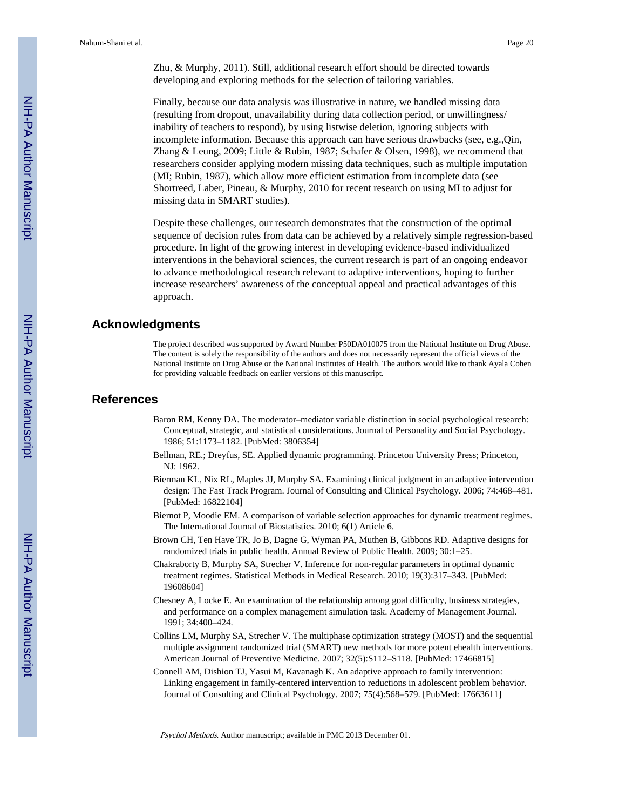Zhu, & Murphy, 2011). Still, additional research effort should be directed towards developing and exploring methods for the selection of tailoring variables.

Finally, because our data analysis was illustrative in nature, we handled missing data (resulting from dropout, unavailability during data collection period, or unwillingness/ inability of teachers to respond), by using listwise deletion, ignoring subjects with incomplete information. Because this approach can have serious drawbacks (see, e.g.,Qin, Zhang & Leung, 2009; Little & Rubin, 1987; Schafer & Olsen, 1998), we recommend that researchers consider applying modern missing data techniques, such as multiple imputation (MI; Rubin, 1987), which allow more efficient estimation from incomplete data (see Shortreed, Laber, Pineau, & Murphy, 2010 for recent research on using MI to adjust for missing data in SMART studies).

Despite these challenges, our research demonstrates that the construction of the optimal sequence of decision rules from data can be achieved by a relatively simple regression-based procedure. In light of the growing interest in developing evidence-based individualized interventions in the behavioral sciences, the current research is part of an ongoing endeavor to advance methodological research relevant to adaptive interventions, hoping to further increase researchers' awareness of the conceptual appeal and practical advantages of this approach.

## **Acknowledgments**

The project described was supported by Award Number P50DA010075 from the National Institute on Drug Abuse. The content is solely the responsibility of the authors and does not necessarily represent the official views of the National Institute on Drug Abuse or the National Institutes of Health. The authors would like to thank Ayala Cohen for providing valuable feedback on earlier versions of this manuscript.

## **References**

- Baron RM, Kenny DA. The moderator–mediator variable distinction in social psychological research: Conceptual, strategic, and statistical considerations. Journal of Personality and Social Psychology. 1986; 51:1173–1182. [PubMed: 3806354]
- Bellman, RE.; Dreyfus, SE. Applied dynamic programming. Princeton University Press; Princeton, NJ: 1962.
- Bierman KL, Nix RL, Maples JJ, Murphy SA. Examining clinical judgment in an adaptive intervention design: The Fast Track Program. Journal of Consulting and Clinical Psychology. 2006; 74:468–481. [PubMed: 16822104]
- Biernot P, Moodie EM. A comparison of variable selection approaches for dynamic treatment regimes. The International Journal of Biostatistics. 2010; 6(1) Article 6.
- Brown CH, Ten Have TR, Jo B, Dagne G, Wyman PA, Muthen B, Gibbons RD. Adaptive designs for randomized trials in public health. Annual Review of Public Health. 2009; 30:1–25.
- Chakraborty B, Murphy SA, Strecher V. Inference for non-regular parameters in optimal dynamic treatment regimes. Statistical Methods in Medical Research. 2010; 19(3):317–343. [PubMed: 19608604]
- Chesney A, Locke E. An examination of the relationship among goal difficulty, business strategies, and performance on a complex management simulation task. Academy of Management Journal. 1991; 34:400–424.
- Collins LM, Murphy SA, Strecher V. The multiphase optimization strategy (MOST) and the sequential multiple assignment randomized trial (SMART) new methods for more potent ehealth interventions. American Journal of Preventive Medicine. 2007; 32(5):S112–S118. [PubMed: 17466815]
- Connell AM, Dishion TJ, Yasui M, Kavanagh K. An adaptive approach to family intervention: Linking engagement in family-centered intervention to reductions in adolescent problem behavior. Journal of Consulting and Clinical Psychology. 2007; 75(4):568–579. [PubMed: 17663611]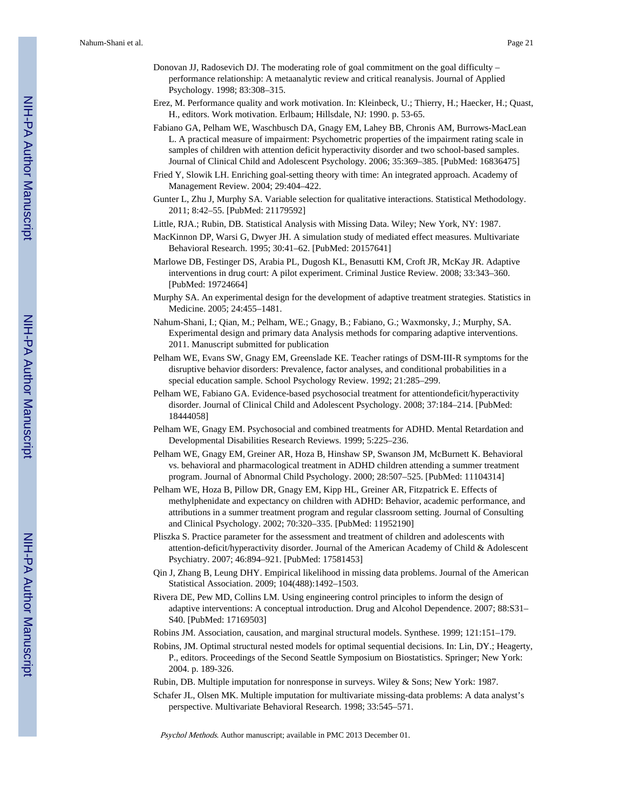- Donovan JJ, Radosevich DJ. The moderating role of goal commitment on the goal difficulty performance relationship: A metaanalytic review and critical reanalysis. Journal of Applied Psychology. 1998; 83:308–315.
- Erez, M. Performance quality and work motivation. In: Kleinbeck, U.; Thierry, H.; Haecker, H.; Quast, H., editors. Work motivation. Erlbaum; Hillsdale, NJ: 1990. p. 53-65.
- Fabiano GA, Pelham WE, Waschbusch DA, Gnagy EM, Lahey BB, Chronis AM, Burrows-MacLean L. A practical measure of impairment: Psychometric properties of the impairment rating scale in samples of children with attention deficit hyperactivity disorder and two school-based samples. Journal of Clinical Child and Adolescent Psychology. 2006; 35:369–385. [PubMed: 16836475]
- Fried Y, Slowik LH. Enriching goal-setting theory with time: An integrated approach. Academy of Management Review. 2004; 29:404–422.
- Gunter L, Zhu J, Murphy SA. Variable selection for qualitative interactions. Statistical Methodology. 2011; 8:42–55. [PubMed: 21179592]
- Little, RJA.; Rubin, DB. Statistical Analysis with Missing Data. Wiley; New York, NY: 1987.
- MacKinnon DP, Warsi G, Dwyer JH. A simulation study of mediated effect measures. Multivariate Behavioral Research. 1995; 30:41–62. [PubMed: 20157641]
- Marlowe DB, Festinger DS, Arabia PL, Dugosh KL, Benasutti KM, Croft JR, McKay JR. Adaptive interventions in drug court: A pilot experiment. Criminal Justice Review. 2008; 33:343–360. [PubMed: 19724664]
- Murphy SA. An experimental design for the development of adaptive treatment strategies. Statistics in Medicine. 2005; 24:455–1481.
- Nahum-Shani, I.; Qian, M.; Pelham, WE.; Gnagy, B.; Fabiano, G.; Waxmonsky, J.; Murphy, SA. Experimental design and primary data Analysis methods for comparing adaptive interventions. 2011. Manuscript submitted for publication
- Pelham WE, Evans SW, Gnagy EM, Greenslade KE. Teacher ratings of DSM-III-R symptoms for the disruptive behavior disorders: Prevalence, factor analyses, and conditional probabilities in a special education sample. School Psychology Review. 1992; 21:285–299.
- Pelham WE, Fabiano GA. Evidence-based psychosocial treatment for attentiondeficit/hyperactivity disorder. Journal of Clinical Child and Adolescent Psychology. 2008; 37:184–214. [PubMed: 18444058]
- Pelham WE, Gnagy EM. Psychosocial and combined treatments for ADHD. Mental Retardation and Developmental Disabilities Research Reviews. 1999; 5:225–236.
- Pelham WE, Gnagy EM, Greiner AR, Hoza B, Hinshaw SP, Swanson JM, McBurnett K. Behavioral vs. behavioral and pharmacological treatment in ADHD children attending a summer treatment program. Journal of Abnormal Child Psychology. 2000; 28:507–525. [PubMed: 11104314]
- Pelham WE, Hoza B, Pillow DR, Gnagy EM, Kipp HL, Greiner AR, Fitzpatrick E. Effects of methylphenidate and expectancy on children with ADHD: Behavior, academic performance, and attributions in a summer treatment program and regular classroom setting. Journal of Consulting and Clinical Psychology. 2002; 70:320–335. [PubMed: 11952190]
- Pliszka S. Practice parameter for the assessment and treatment of children and adolescents with attention-deficit/hyperactivity disorder. Journal of the American Academy of Child & Adolescent Psychiatry. 2007; 46:894–921. [PubMed: 17581453]
- Qin J, Zhang B, Leung DHY. Empirical likelihood in missing data problems. Journal of the American Statistical Association. 2009; 104(488):1492–1503.
- Rivera DE, Pew MD, Collins LM. Using engineering control principles to inform the design of adaptive interventions: A conceptual introduction. Drug and Alcohol Dependence. 2007; 88:S31– S40. [PubMed: 17169503]
- Robins JM. Association, causation, and marginal structural models. Synthese. 1999; 121:151–179.
- Robins, JM. Optimal structural nested models for optimal sequential decisions. In: Lin, DY.; Heagerty, P., editors. Proceedings of the Second Seattle Symposium on Biostatistics. Springer; New York: 2004. p. 189-326.
- Rubin, DB. Multiple imputation for nonresponse in surveys. Wiley & Sons; New York: 1987.
- Schafer JL, Olsen MK. Multiple imputation for multivariate missing-data problems: A data analyst's perspective. Multivariate Behavioral Research. 1998; 33:545–571.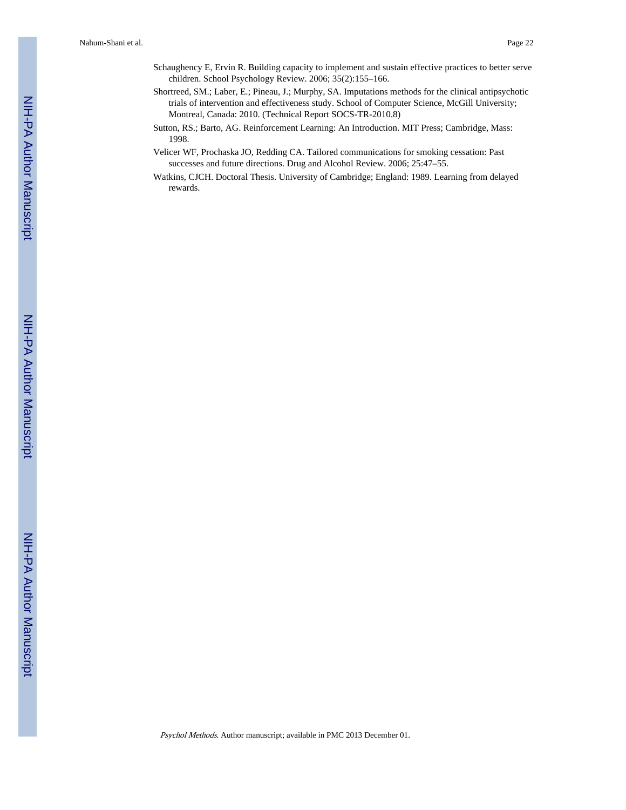- Schaughency E, Ervin R. Building capacity to implement and sustain effective practices to better serve children. School Psychology Review. 2006; 35(2):155–166.
- Shortreed, SM.; Laber, E.; Pineau, J.; Murphy, SA. Imputations methods for the clinical antipsychotic trials of intervention and effectiveness study. School of Computer Science, McGill University; Montreal, Canada: 2010. (Technical Report SOCS-TR-2010.8)
- Sutton, RS.; Barto, AG. Reinforcement Learning: An Introduction. MIT Press; Cambridge, Mass: 1998.
- Velicer WF, Prochaska JO, Redding CA. Tailored communications for smoking cessation: Past successes and future directions. Drug and Alcohol Review. 2006; 25:47–55.
- Watkins, CJCH. Doctoral Thesis. University of Cambridge; England: 1989. Learning from delayed rewards.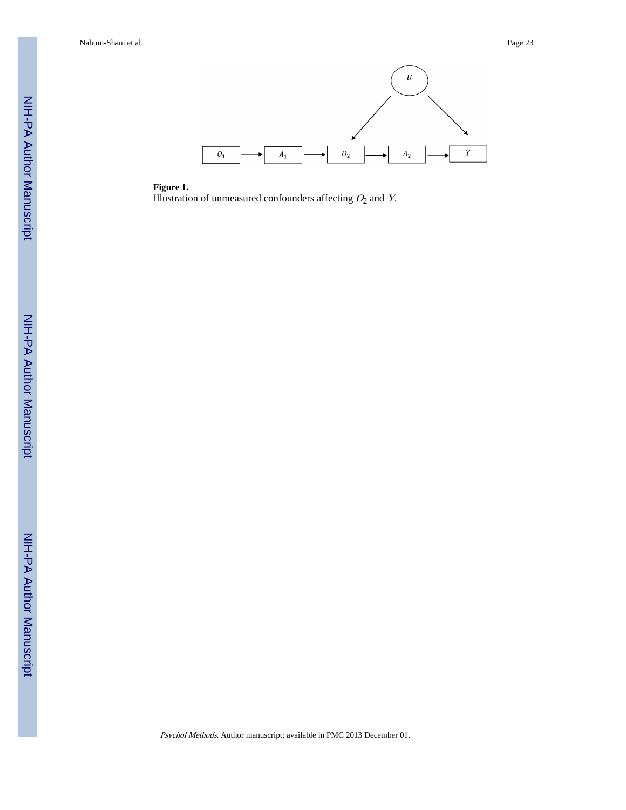

**Figure 1.** Illustration of unmeasured confounders affecting  $O_2$  and Y.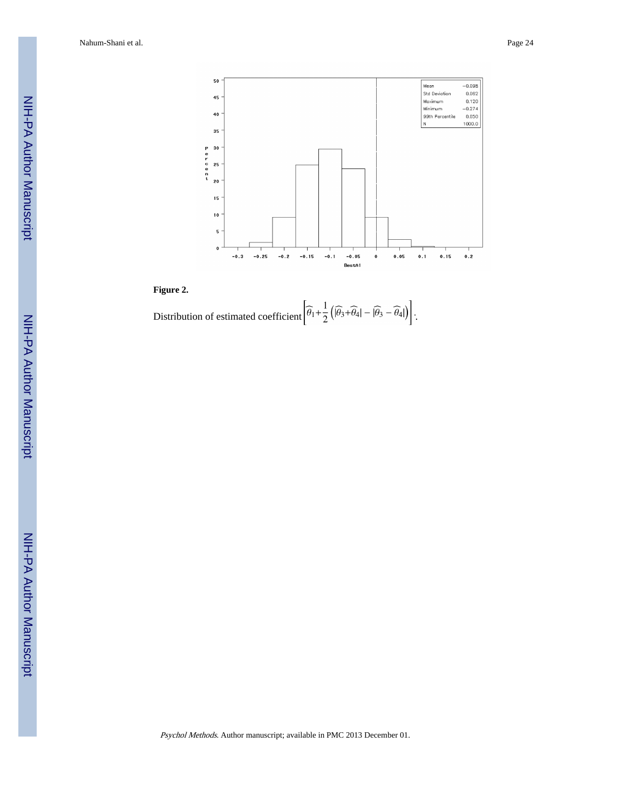

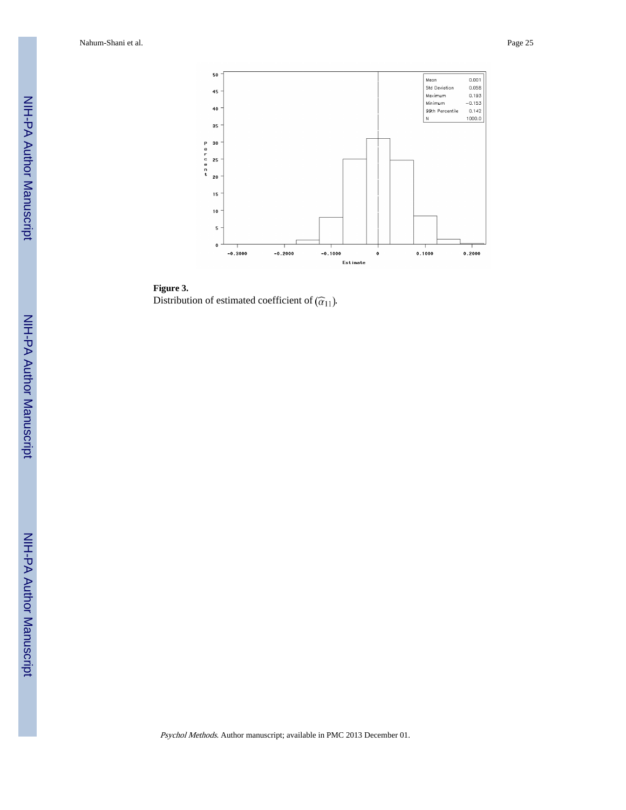

**Figure 3.** Distribution of estimated coefficient of  $(\widehat{\alpha}_{11})$ .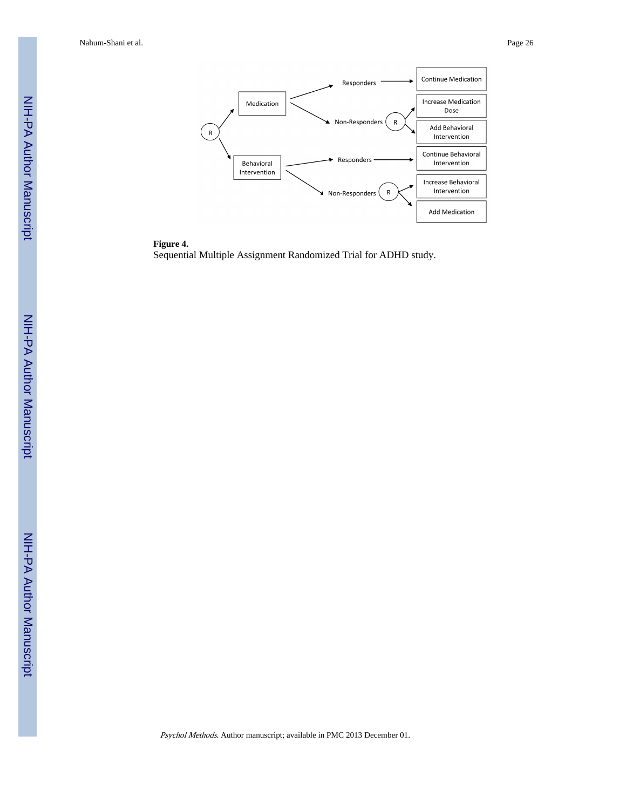

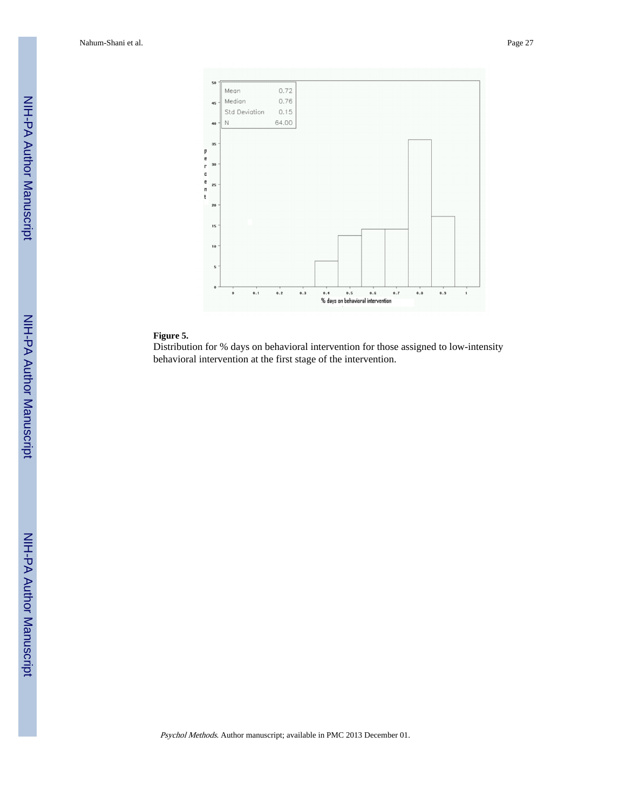

#### **Figure 5.**

Distribution for % days on behavioral intervention for those assigned to low-intensity behavioral intervention at the first stage of the intervention.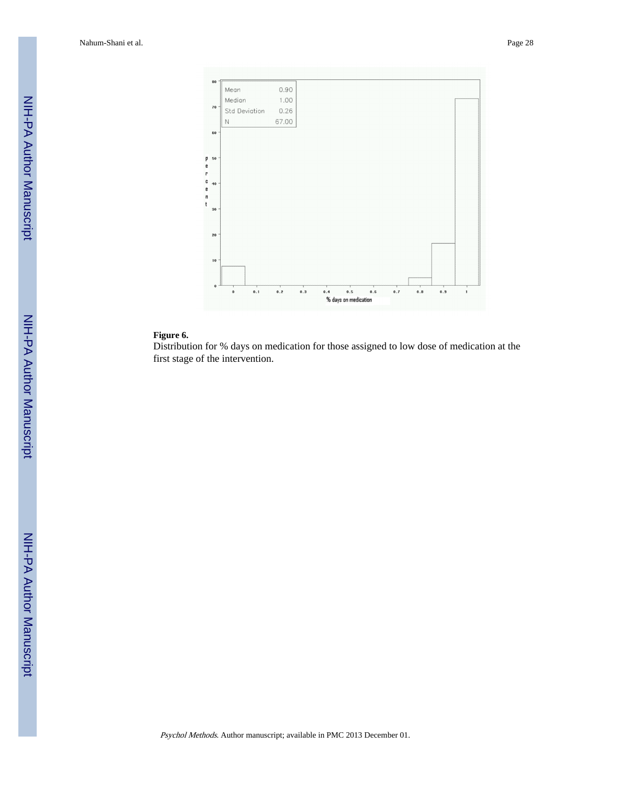

#### **Figure 6.**

Distribution for % days on medication for those assigned to low dose of medication at the first stage of the intervention.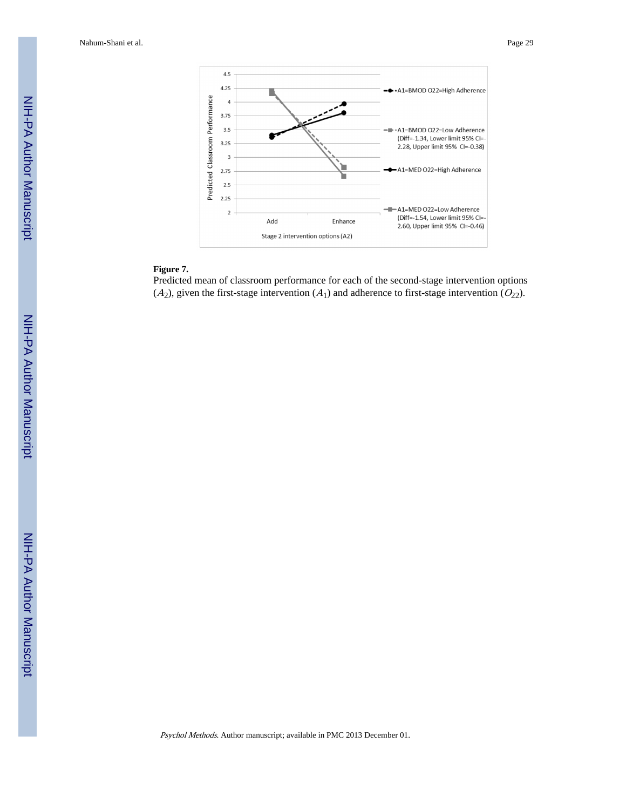

## **Figure 7.**

Predicted mean of classroom performance for each of the second-stage intervention options  $(A_2)$ , given the first-stage intervention  $(A_1)$  and adherence to first-stage intervention  $(O_{22})$ .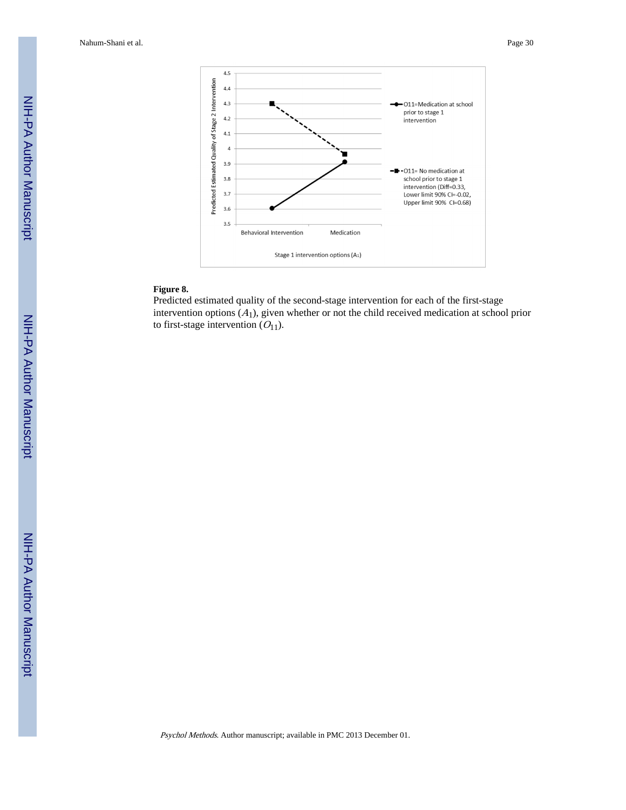

#### **Figure 8.**

Predicted estimated quality of the second-stage intervention for each of the first-stage intervention options  $(A_1)$ , given whether or not the child received medication at school prior to first-stage intervention  $(O_{11})$ .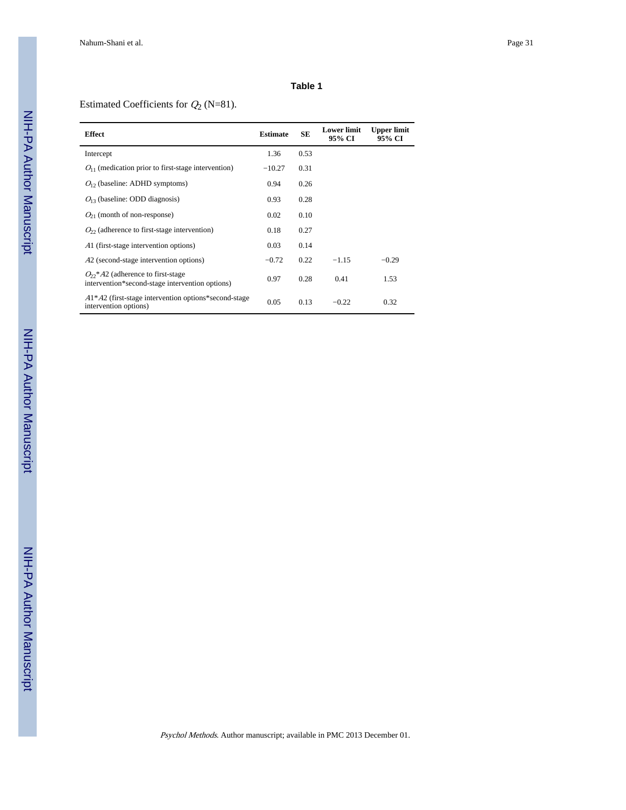## Estimated Coefficients for  $Q_2$  (N=81).

| <b>Effect</b>                                                                                     | <b>Estimate</b> | <b>SE</b> | <b>Lower limit</b><br>95% CI | <b>Upper limit</b><br>95% CI |
|---------------------------------------------------------------------------------------------------|-----------------|-----------|------------------------------|------------------------------|
| Intercept                                                                                         | 1.36            | 0.53      |                              |                              |
| $O_{11}$ (medication prior to first-stage intervention)                                           | $-10.27$        | 0.31      |                              |                              |
| $O12$ (baseline: ADHD symptoms)                                                                   | 0.94            | 0.26      |                              |                              |
| $O_{13}$ (baseline: ODD diagnosis)                                                                | 0.93            | 0.28      |                              |                              |
| $O_{21}$ (month of non-response)                                                                  | 0.02            | 0.10      |                              |                              |
| $O22$ (adherence to first-stage intervention)                                                     | 0.18            | 0.27      |                              |                              |
| A1 (first-stage intervention options)                                                             | 0.03            | 0.14      |                              |                              |
| A2 (second-stage intervention options)                                                            | $-0.72$         | 0.22      | $-1.15$                      | $-0.29$                      |
| $O2$ <sup>*</sup> A2 (adherence to first-stage<br>intervention*second-stage intervention options) | 0.97            | 0.28      | 0.41                         | 1.53                         |
| $A1^*A2$ (first-stage intervention options*second-stage)<br>intervention options)                 | 0.05            | 0.13      | $-0.22$                      | 0.32                         |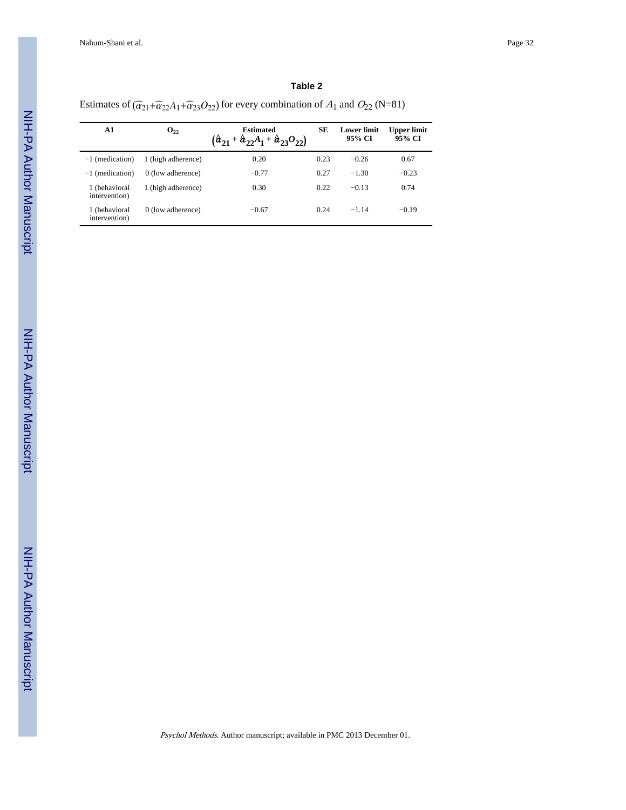Estimates of  $(\widehat{\alpha}_{21}+\widehat{\alpha}_{22}A_1+\widehat{\alpha}_{23}O_{22})$  for every combination of  $A_1$  and  $O_{22}$  (N=81)

| A1                             | $0_{22}$           | <b>Estimated</b><br>$(\hat{a}_{21} + \hat{a}_{22}A_1 + \hat{a}_{23}O_{22})$ | SЕ   | <b>Lower limit</b><br>95% CI | <b>Upper limit</b><br>95% CI |
|--------------------------------|--------------------|-----------------------------------------------------------------------------|------|------------------------------|------------------------------|
| $-1$ (medication)              | 1 (high adherence) | 0.20                                                                        | 0.23 | $-0.26$                      | 0.67                         |
| $-1$ (medication)              | 0 (low adherence)  | $-0.77$                                                                     | 0.27 | $-1.30$                      | $-0.23$                      |
| 1 (behavioral<br>intervention) | 1 (high adherence) | 0.30                                                                        | 0.22 | $-0.13$                      | 0.74                         |
| 1 (behavioral<br>intervention) | 0 (low adherence)  | $-0.67$                                                                     | 0.24 | $-1,14$                      | $-0.19$                      |

Psychol Methods. Author manuscript; available in PMC 2013 December 01.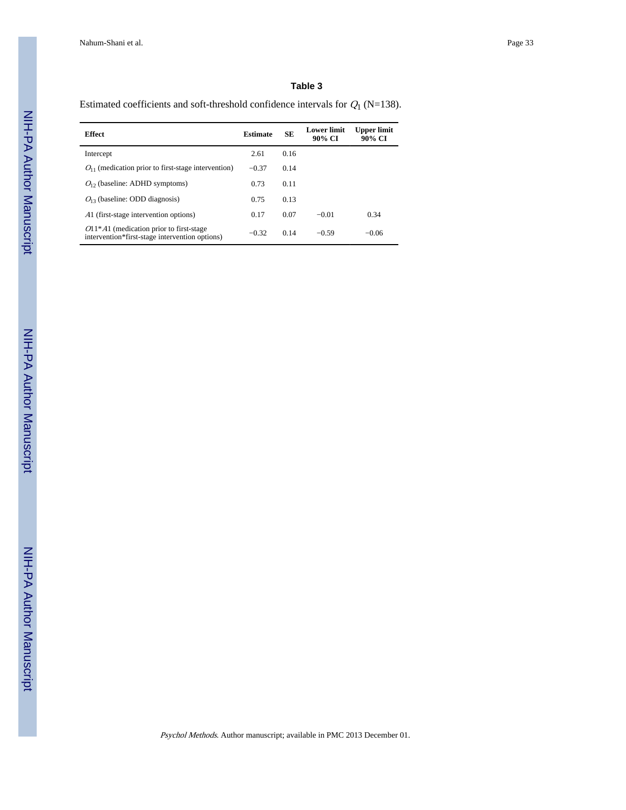Estimated coefficients and soft-threshold confidence intervals for  $Q_1$  (N=138).

| <b>Effect</b>                                                                               | <b>Estimate</b> | <b>SE</b> | <b>Lower limit</b><br>90% CI | Upper limit<br>90% CI |
|---------------------------------------------------------------------------------------------|-----------------|-----------|------------------------------|-----------------------|
| Intercept                                                                                   | 2.61            | 0.16      |                              |                       |
| $O_{11}$ (medication prior to first-stage intervention)                                     | $-0.37$         | 0.14      |                              |                       |
| $O12$ (baseline: ADHD symptoms)                                                             | 0.73            | 0.11      |                              |                       |
| $O13$ (baseline: ODD diagnosis)                                                             | 0.75            | 0.13      |                              |                       |
| A1 (first-stage intervention options)                                                       | 0.17            | 0.07      | $-0.01$                      | 0.34                  |
| $O11*Al$ (medication prior to first-stage<br>intervention*first-stage intervention options) | $-0.32$         | 0.14      | $-0.59$                      | $-0.06$               |